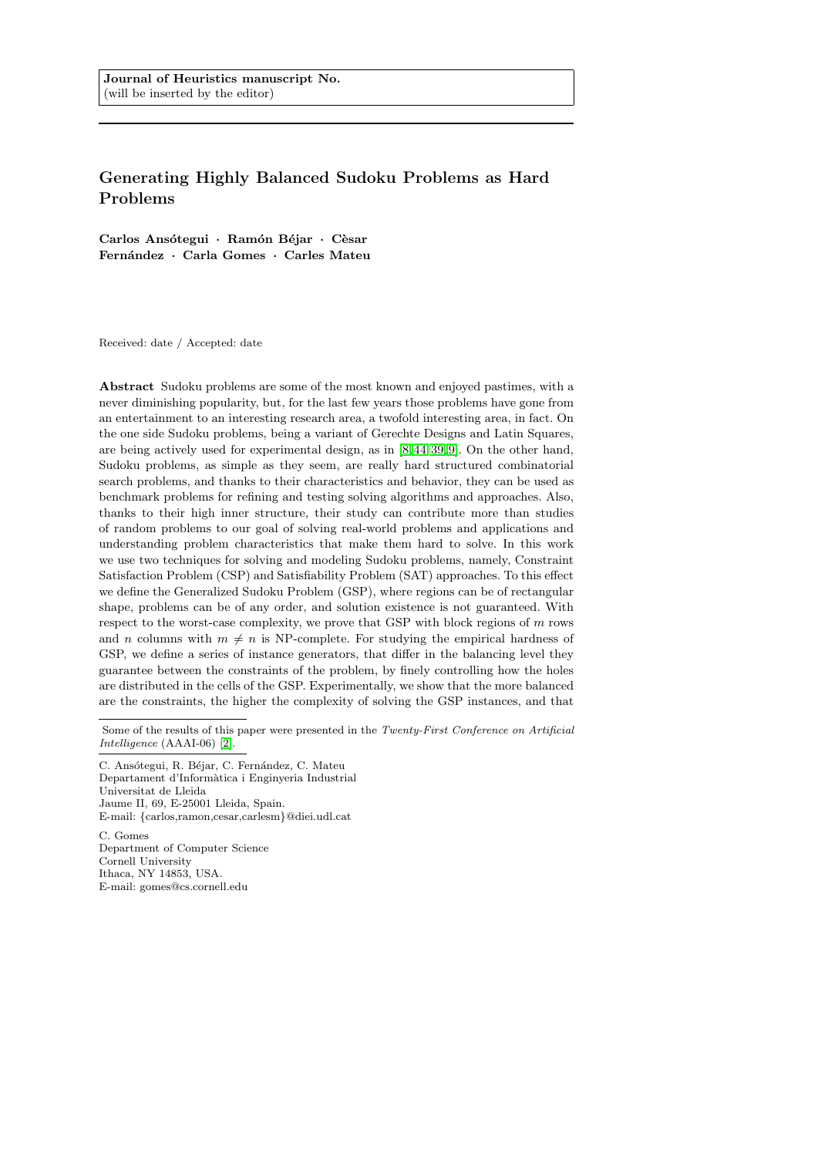# Generating Highly Balanced Sudoku Problems as Hard Problems

Carlos Ansótegui · Ramón Béjar · Cèsar Fernández · Carla Gomes · Carles Mateu

Received: date / Accepted: date

Abstract Sudoku problems are some of the most known and enjoyed pastimes, with a never diminishing popularity, but, for the last few years those problems have gone from an entertainment to an interesting research area, a twofold interesting area, in fact. On the one side Sudoku problems, being a variant of Gerechte Designs and Latin Squares, are being actively used for experimental design, as in [\[8,](#page-22-0) [44,](#page-24-0)[39,](#page-23-0) [9\]](#page-22-1). On the other hand, Sudoku problems, as simple as they seem, are really hard structured combinatorial search problems, and thanks to their characteristics and behavior, they can be used as benchmark problems for refining and testing solving algorithms and approaches. Also, thanks to their high inner structure, their study can contribute more than studies of random problems to our goal of solving real-world problems and applications and understanding problem characteristics that make them hard to solve. In this work we use two techniques for solving and modeling Sudoku problems, namely, Constraint Satisfaction Problem (CSP) and Satisfiability Problem (SAT) approaches. To this effect we define the Generalized Sudoku Problem (GSP), where regions can be of rectangular shape, problems can be of any order, and solution existence is not guaranteed. With respect to the worst-case complexity, we prove that GSP with block regions of m rows and *n* columns with  $m \neq n$  is NP-complete. For studying the empirical hardness of GSP, we define a series of instance generators, that differ in the balancing level they guarantee between the constraints of the problem, by finely controlling how the holes are distributed in the cells of the GSP. Experimentally, we show that the more balanced are the constraints, the higher the complexity of solving the GSP instances, and that

C. Ansótegui, R. Béjar, C. Fernández, C. Mateu Departament d'Informàtica i Enginyeria Industrial Universitat de Lleida Jaume II, 69, E-25001 Lleida, Spain. E-mail: {carlos,ramon,cesar,carlesm}@diei.udl.cat

C. Gomes Department of Computer Science Cornell University Ithaca, NY 14853, USA. E-mail: gomes@cs.cornell.edu

Some of the results of this paper were presented in the Twenty-First Conference on Artificial Intelligence (AAAI-06) [\[2\]](#page-22-2).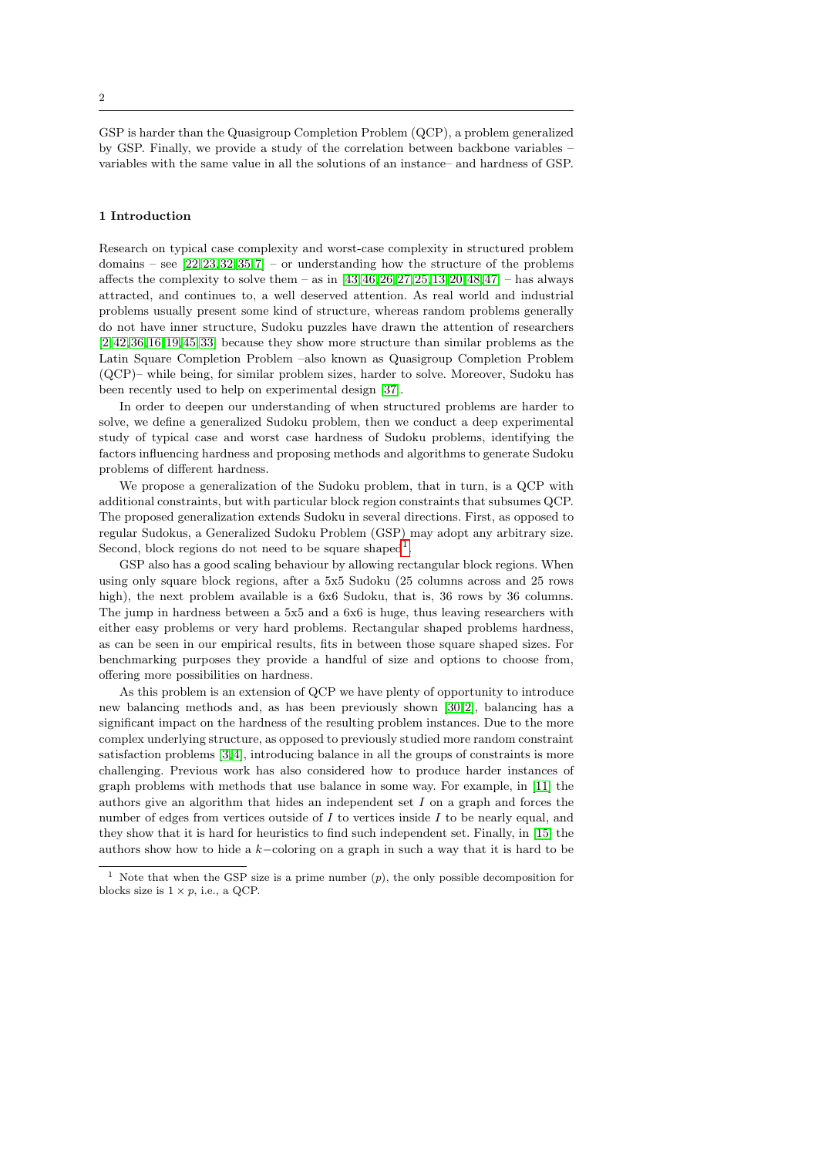GSP is harder than the Quasigroup Completion Problem (QCP), a problem generalized by GSP. Finally, we provide a study of the correlation between backbone variables – variables with the same value in all the solutions of an instance– and hardness of GSP.

# 1 Introduction

Research on typical case complexity and worst-case complexity in structured problem domains – see  $[22, 23, 32, 35, 7]$  $[22, 23, 32, 35, 7]$  $[22, 23, 32, 35, 7]$  $[22, 23, 32, 35, 7]$  $[22, 23, 32, 35, 7]$  $[22, 23, 32, 35, 7]$  – or understanding how the structure of the problems affects the complexity to solve them – as in  $[43, 46, 26, 27, 25, 13, 20, 48, 47]$  $[43, 46, 26, 27, 25, 13, 20, 48, 47]$  $[43, 46, 26, 27, 25, 13, 20, 48, 47]$  $[43, 46, 26, 27, 25, 13, 20, 48, 47]$  $[43, 46, 26, 27, 25, 13, 20, 48, 47]$  $[43, 46, 26, 27, 25, 13, 20, 48, 47]$  $[43, 46, 26, 27, 25, 13, 20, 48, 47]$  $[43, 46, 26, 27, 25, 13, 20, 48, 47]$  $[43, 46, 26, 27, 25, 13, 20, 48, 47]$  $[43, 46, 26, 27, 25, 13, 20, 48, 47]$  $[43, 46, 26, 27, 25, 13, 20, 48, 47]$  – has always attracted, and continues to, a well deserved attention. As real world and industrial problems usually present some kind of structure, whereas random problems generally do not have inner structure, Sudoku puzzles have drawn the attention of researchers [\[2,](#page-22-2) [42,](#page-23-10)[36,](#page-23-11) [16,](#page-22-5) [19,](#page-22-6) [45,](#page-24-4)[33\]](#page-23-12) because they show more structure than similar problems as the Latin Square Completion Problem –also known as Quasigroup Completion Problem (QCP)– while being, for similar problem sizes, harder to solve. Moreover, Sudoku has been recently used to help on experimental design [\[37\]](#page-23-13).

In order to deepen our understanding of when structured problems are harder to solve, we define a generalized Sudoku problem, then we conduct a deep experimental study of typical case and worst case hardness of Sudoku problems, identifying the factors influencing hardness and proposing methods and algorithms to generate Sudoku problems of different hardness.

We propose a generalization of the Sudoku problem, that in turn, is a QCP with additional constraints, but with particular block region constraints that subsumes QCP. The proposed generalization extends Sudoku in several directions. First, as opposed to regular Sudokus, a Generalized Sudoku Problem (GSP) may adopt any arbitrary size. Second, block regions do not need to be square shaped<sup>[1](#page-1-0)</sup>.

GSP also has a good scaling behaviour by allowing rectangular block regions. When using only square block regions, after a 5x5 Sudoku (25 columns across and 25 rows high), the next problem available is a 6x6 Sudoku, that is, 36 rows by 36 columns. The jump in hardness between a 5x5 and a 6x6 is huge, thus leaving researchers with either easy problems or very hard problems. Rectangular shaped problems hardness, as can be seen in our empirical results, fits in between those square shaped sizes. For benchmarking purposes they provide a handful of size and options to choose from, offering more possibilities on hardness.

As this problem is an extension of QCP we have plenty of opportunity to introduce new balancing methods and, as has been previously shown [\[30,](#page-23-14)[2\]](#page-22-2), balancing has a significant impact on the hardness of the resulting problem instances. Due to the more complex underlying structure, as opposed to previously studied more random constraint satisfaction problems [\[3,](#page-22-7) [4\]](#page-22-8), introducing balance in all the groups of constraints is more challenging. Previous work has also considered how to produce harder instances of graph problems with methods that use balance in some way. For example, in [\[11\]](#page-22-9) the authors give an algorithm that hides an independent set I on a graph and forces the number of edges from vertices outside of  $I$  to vertices inside  $I$  to be nearly equal, and they show that it is hard for heuristics to find such independent set. Finally, in [\[15\]](#page-22-10) the authors show how to hide a k−coloring on a graph in such a way that it is hard to be

<span id="page-1-0"></span><sup>&</sup>lt;sup>1</sup> Note that when the GSP size is a prime number  $(p)$ , the only possible decomposition for blocks size is  $1 \times p$ , i.e., a QCP.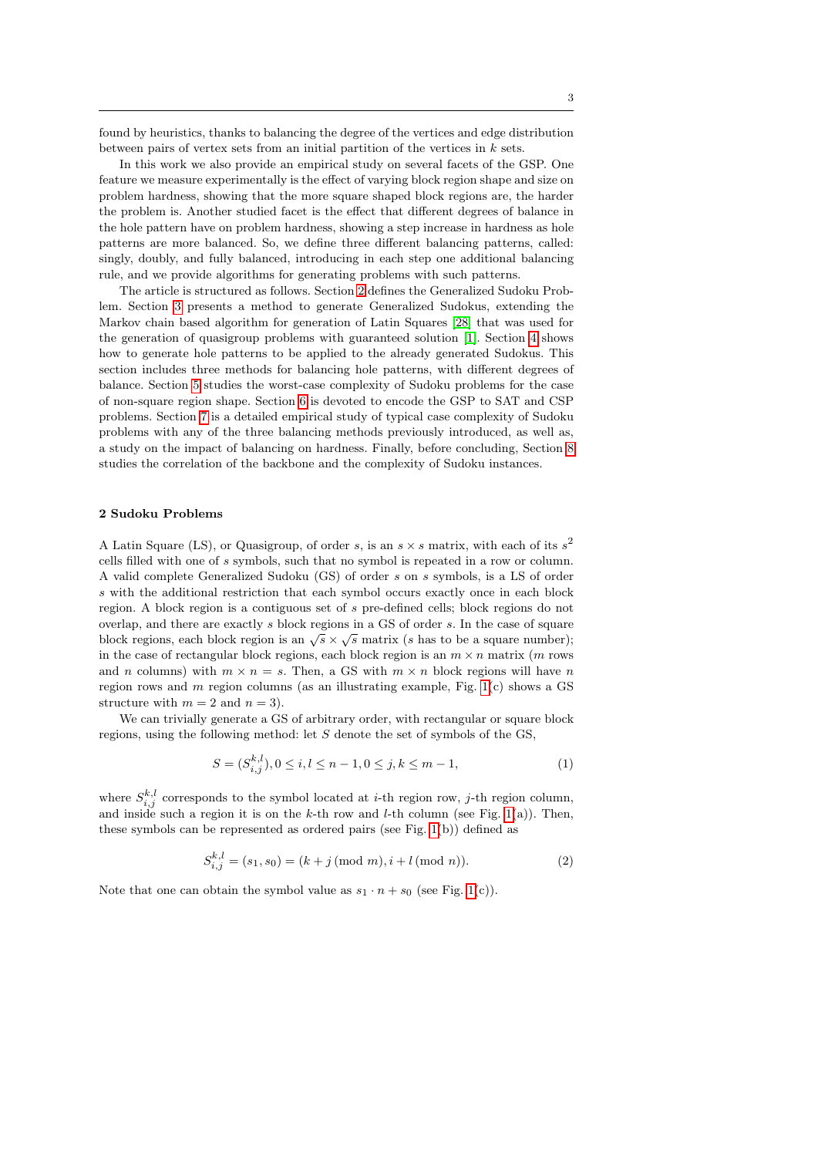found by heuristics, thanks to balancing the degree of the vertices and edge distribution between pairs of vertex sets from an initial partition of the vertices in  $k$  sets.

In this work we also provide an empirical study on several facets of the GSP. One feature we measure experimentally is the effect of varying block region shape and size on problem hardness, showing that the more square shaped block regions are, the harder the problem is. Another studied facet is the effect that different degrees of balance in the hole pattern have on problem hardness, showing a step increase in hardness as hole patterns are more balanced. So, we define three different balancing patterns, called: singly, doubly, and fully balanced, introducing in each step one additional balancing rule, and we provide algorithms for generating problems with such patterns.

The article is structured as follows. Section [2](#page-2-0) defines the Generalized Sudoku Problem. Section [3](#page-3-0) presents a method to generate Generalized Sudokus, extending the Markov chain based algorithm for generation of Latin Squares [\[28\]](#page-23-15) that was used for the generation of quasigroup problems with guaranteed solution [\[1\]](#page-22-11). Section [4](#page-6-0) shows how to generate hole patterns to be applied to the already generated Sudokus. This section includes three methods for balancing hole patterns, with different degrees of balance. Section [5](#page-9-0) studies the worst-case complexity of Sudoku problems for the case of non-square region shape. Section [6](#page-10-0) is devoted to encode the GSP to SAT and CSP problems. Section [7](#page-15-0) is a detailed empirical study of typical case complexity of Sudoku problems with any of the three balancing methods previously introduced, as well as, a study on the impact of balancing on hardness. Finally, before concluding, Section [8](#page-18-0) studies the correlation of the backbone and the complexity of Sudoku instances.

#### <span id="page-2-0"></span>2 Sudoku Problems

A Latin Square (LS), or Quasigroup, of order s, is an  $s \times s$  matrix, with each of its  $s^2$ cells filled with one of s symbols, such that no symbol is repeated in a row or column. A valid complete Generalized Sudoku (GS) of order s on s symbols, is a LS of order s with the additional restriction that each symbol occurs exactly once in each block region. A block region is a contiguous set of s pre-defined cells; block regions do not overlap, and there are exactly s block regions in a GS of order s. In the case of square block regions, each block region is an  $\sqrt{s} \times \sqrt{s}$  matrix (s has to be a square number); in the case of rectangular block regions, each block region is an  $m \times n$  matrix (m rows and n columns) with  $m \times n = s$ . Then, a GS with  $m \times n$  block regions will have n region rows and  $m$  region columns (as an illustrating example, Fig. [1\(](#page-3-1)c) shows a GS structure with  $m = 2$  and  $n = 3$ ).

We can trivially generate a GS of arbitrary order, with rectangular or square block regions, using the following method: let S denote the set of symbols of the GS,

<span id="page-2-1"></span>
$$
S = (S_{i,j}^{k,l}), 0 \le i, l \le n-1, 0 \le j, k \le m-1,
$$
\n(1)

where  $S_{i,j}^{k,l}$  corresponds to the symbol located at *i*-th region row, *j*-th region column, and inside such a region it is on the k-th row and l-th column (see Fig. [1\(](#page-3-1)a)). Then, these symbols can be represented as ordered pairs (see Fig. [1\(](#page-3-1)b)) defined as

<span id="page-2-2"></span>
$$
S_{i,j}^{k,l} = (s_1, s_0) = (k + j \pmod{m}, i + l \pmod{n}).
$$
\n(2)

Note that one can obtain the symbol value as  $s_1 \cdot n + s_0$  (see Fig. [1\(](#page-3-1)c)).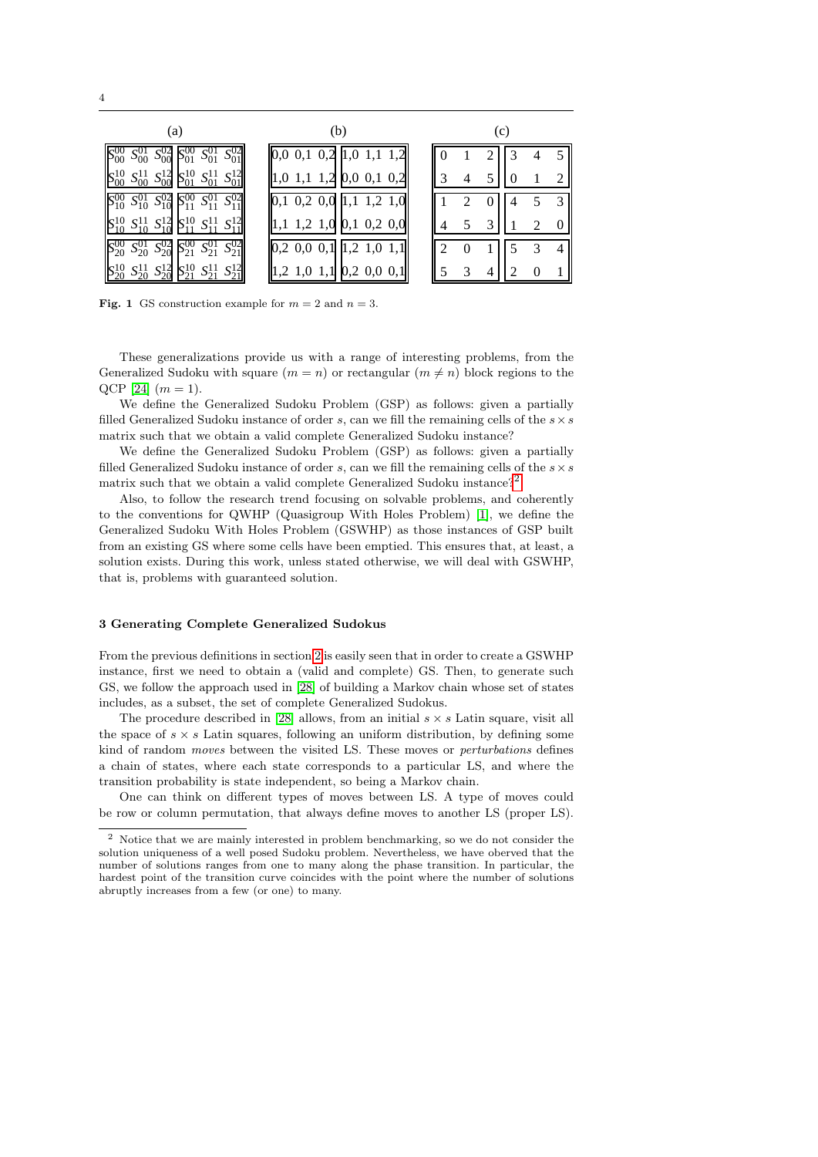| (a)                                                                             | (b)                                                                                             | (c) |  |  |  |               |
|---------------------------------------------------------------------------------|-------------------------------------------------------------------------------------------------|-----|--|--|--|---------------|
| $S_{00}^{01}$<br>$S_{01}^{01}$<br>$S_{00}^{02}$ $\beta_{01}^{01}$               | $\begin{bmatrix} 0,0 & 0,1 & 0,2 \end{bmatrix}$ [1,0 1,1 1,2]                                   |     |  |  |  | 5             |
| $S_{00}^{11}$ $S_{00}^{12}$ $S_{01}^{10}$ $S_{01}^{11}$ $S_{01}^{12}$           | $\parallel$ 1,0 1,1 1,2 $\parallel$ 0,0 0,1 0,2 $\parallel$                                     |     |  |  |  | ി             |
| $S_{10}^{01} S_{10}^{02} S_{11}^{00} S_{11}^{01} S_{11}^{02}$                   | $\boxed{1,1\ \ 1,2\ \ 1,0}$<br>$\ 0,1\ 0,2\ 0,0\ $                                              |     |  |  |  | $\mathcal{R}$ |
| $S_{10}^{11} S_{10}^{12} S_{11}^{10} S_{11}^{11}$                               | $\begin{bmatrix} 1,1 & 1,2 & 1,0 \end{bmatrix}$ [0,1 0,2 0,0]                                   |     |  |  |  |               |
| $S_{20}^{02}S_{21}^{00}S_{21}^{01}S_{21}^{02}$<br>$S_{20}^{01}$                 | $\begin{bmatrix} 0,2 & 0,0 & 0,1 \end{bmatrix}$ $\begin{bmatrix} 1,2 & 1,0 & 1,1 \end{bmatrix}$ |     |  |  |  | 4             |
| $\sqrt{10}$<br>$S_{20}^{12}$<br>$S_{20}^{11}$<br>$S_{21}^{11}$<br>$S_{21}^{12}$ | $\ 1,2\ 1,0\ 1,1\ 0,2\ 0,0\ 0,1\ $                                                              |     |  |  |  |               |

| (a)                                                                                                 |                                                                                                 | (c) |    |
|-----------------------------------------------------------------------------------------------------|-------------------------------------------------------------------------------------------------|-----|----|
| $S_{00}^{02}$ $S_{01}^{00}$ $S_{01}^{01}$<br>$S_{01}^{02}$<br>$S_{00}^{01}$                         | $\begin{bmatrix} 0,0 & 0,1 & 0,2 \end{bmatrix}$ $\begin{bmatrix} 1,0 & 1,1 & 1,2 \end{bmatrix}$ |     | 5  |
| $S_{00}^{10}$ $S_{00}^{11}$ $S_{00}^{12}$ $S_{01}^{10}$ $S_{01}^{11}$                               | $\parallel$ 1,0 1,1 1,2 0,0 0,1 0,2                                                             |     | 2  |
| $S_{10}^{00}$ $S_{10}^{01}$ $S_{10}^{02}$ $S_{11}^{00}$ $S_{11}^{01}$ $S_{11}^{02}$                 | $\begin{bmatrix} 0,1 & 0,2 & 0,0 \end{bmatrix}$ $\begin{bmatrix} 1,1 & 1,2 & 1,0 \end{bmatrix}$ |     | -3 |
| $\begin{bmatrix} S_{10}^{10} & S_{10}^{11} & S_{10}^{12} & S_{11}^{10} & S_{11}^{11} \end{bmatrix}$ | $\parallel$ 1,1 1,2 1,0 0,1 0,2 0,0                                                             |     | 2  |
| $S_{21}^{02}$<br>$S_{21}^{00}$ $S_{21}^{01}$<br>$S_{20}^{02}$<br>$S_{20}^{01}$                      | $\begin{bmatrix} 0,2 & 0,0 & 0,1 \end{bmatrix}$ $\begin{bmatrix} 1,2 & 1,0 & 1,1 \end{bmatrix}$ |     | 4  |
| $S_{20}^{12}$<br>$\sqrt{10}$<br>$S_{21}^{12}$<br>$S_{21}^{11}$<br>$S_{20}^{11}$                     | $\parallel$ 1,2 1,0 1,1 0,2 0,0 0,1                                                             |     |    |

| (c)            |                |                |   |   |   |  |  |  |
|----------------|----------------|----------------|---|---|---|--|--|--|
| 0              | 1              | $\overline{c}$ | 3 | 4 | 5 |  |  |  |
| 3              |                | 5              | 0 |   | 2 |  |  |  |
| 1              | $\overline{c}$ | 0              |   | 5 | 3 |  |  |  |
| 4              | 5              | 3              |   | 2 | 0 |  |  |  |
| $\overline{c}$ | $\overline{0}$ |                | 5 | 3 |   |  |  |  |
| $\overline{5}$ | 3              | Ą              |   | 0 |   |  |  |  |

<span id="page-3-1"></span>**Fig. 1** GS construction example for  $m = 2$  and  $n = 3$ .

These generalizations provide us with a range of interesting problems, from the Generalized Sudoku with square  $(m = n)$  or rectangular  $(m \neq n)$  block regions to the QCP [\[24\]](#page-23-16)  $(m = 1)$ .

We define the Generalized Sudoku Problem (GSP) as follows: given a partially filled Generalized Sudoku instance of order s, can we fill the remaining cells of the  $s \times s$ matrix such that we obtain a valid complete Generalized Sudoku instance?

We define the Generalized Sudoku Problem (GSP) as follows: given a partially filled Generalized Sudoku instance of order s, can we fill the remaining cells of the  $s \times s$ matrix such that we obtain a valid complete Generalized Sudoku instance?<sup>[2](#page-3-2)</sup>

Also, to follow the research trend focusing on solvable problems, and coherently to the conventions for QWHP (Quasigroup With Holes Problem) [\[1\]](#page-22-11), we define the Generalized Sudoku With Holes Problem (GSWHP) as those instances of GSP built from an existing GS where some cells have been emptied. This ensures that, at least, a solution exists. During this work, unless stated otherwise, we will deal with GSWHP, that is, problems with guaranteed solution.

# <span id="page-3-0"></span>3 Generating Complete Generalized Sudokus

From the previous definitions in section [2](#page-2-0) is easily seen that in order to create a GSWHP instance, first we need to obtain a (valid and complete) GS. Then, to generate such GS, we follow the approach used in [\[28\]](#page-23-15) of building a Markov chain whose set of states includes, as a subset, the set of complete Generalized Sudokus.

The procedure described in [\[28\]](#page-23-15) allows, from an initial  $s \times s$  Latin square, visit all the space of  $s \times s$  Latin squares, following an uniform distribution, by defining some kind of random moves between the visited LS. These moves or perturbations defines a chain of states, where each state corresponds to a particular LS, and where the transition probability is state independent, so being a Markov chain.

One can think on different types of moves between LS. A type of moves could be row or column permutation, that always define moves to another LS (proper LS).

<span id="page-3-2"></span> $2$  Notice that we are mainly interested in problem benchmarking, so we do not consider the solution uniqueness of a well posed Sudoku problem. Nevertheless, we have oberved that the number of solutions ranges from one to many along the phase transition. In particular, the hardest point of the transition curve coincides with the point where the number of solutions abruptly increases from a few (or one) to many.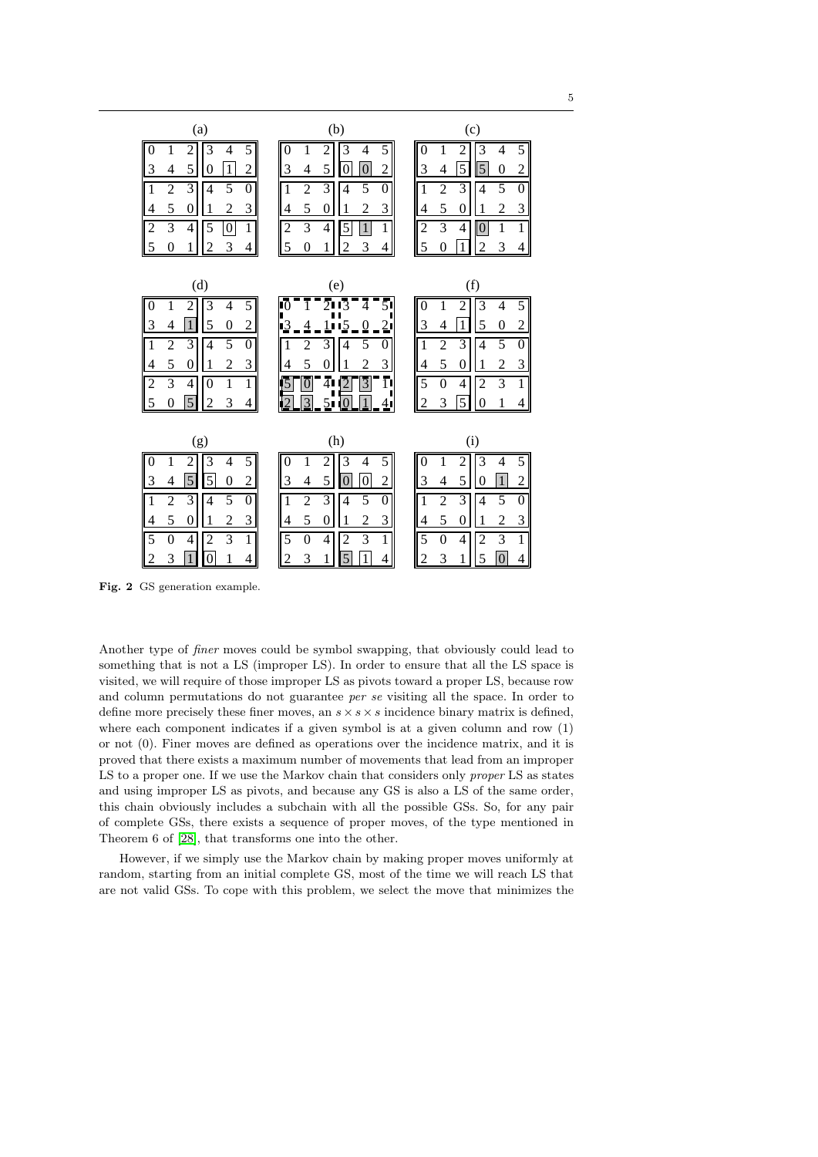| (a)                                                                                                                                                                                                                                                                                                                                                                                                       | (b)                                                                                                                                                                                                                                                                                                                                                                                                 | (c)                                                                                                                                                                                                                                                                                                                                                                                  |
|-----------------------------------------------------------------------------------------------------------------------------------------------------------------------------------------------------------------------------------------------------------------------------------------------------------------------------------------------------------------------------------------------------------|-----------------------------------------------------------------------------------------------------------------------------------------------------------------------------------------------------------------------------------------------------------------------------------------------------------------------------------------------------------------------------------------------------|--------------------------------------------------------------------------------------------------------------------------------------------------------------------------------------------------------------------------------------------------------------------------------------------------------------------------------------------------------------------------------------|
| $\boldsymbol{0}$<br>$\overline{5}$<br>2<br>3<br>4<br>1<br>$\mathbf{1}$<br>3<br>5<br>$\overline{2}$<br>4<br>$\theta$<br>$\overline{3}$<br>$\overline{2}$<br>$\overline{5}$<br>$\overline{1}$<br>$\overline{4}$<br>$\overline{0}$<br>5<br>3<br>2<br>$\overline{4}$<br>$\theta$<br>1<br>$\overline{3}$<br>$\vert$ 2<br>$\mathbf{1}$<br>$\overline{4}$<br>5<br>$\boldsymbol{0}$<br>5<br>3<br>1<br>2<br>0<br>4 | $\overline{0}$<br>$\overline{5}$<br>2<br>3<br>1<br>4<br>3<br>5<br>$\overline{2}$<br>$\overline{0}$<br>4<br>$\Omega$<br>$\overline{3}$<br>$\overline{2}$<br>$\overline{5}$<br>$\mathbf{1}$<br>$\overline{4}$<br>$\theta$<br>5<br>3<br>$\overline{c}$<br>$\overline{0}$<br>4<br>$\overline{3}$<br>$\mathbf{1}$<br>$\overline{2}$<br>4<br>5<br>$\mathbf{1}$<br>5<br>3<br>$\overline{c}$<br>0<br>1<br>4 | $\theta$<br>$\overline{5}$<br>2<br>3<br>1<br>4<br>$\overline{5}$<br>$\overline{5}$<br>3<br>$\overline{2}$<br>4<br>0<br>$\overline{3}$<br>$\overline{2}$<br>5<br>$\mathbf{1}$<br>$\overline{4}$<br>$\theta$<br>5<br>3<br>$\overline{2}$<br>$\theta$<br>4<br>$\overline{3}$<br>1<br>$\overline{2}$<br>4<br>1<br>$\boldsymbol{0}$<br>5<br>$\mathbf{1}$<br>3<br>$\overline{2}$<br>0<br>4 |
| (d)                                                                                                                                                                                                                                                                                                                                                                                                       | (e)                                                                                                                                                                                                                                                                                                                                                                                                 | (f)                                                                                                                                                                                                                                                                                                                                                                                  |
| 5<br>3<br>$\overline{0}$<br>1<br>2<br>4<br>$\mathbf{1}$<br>3<br>5<br>$\overline{0}$<br>$\overline{2}$<br>4<br>$\overline{1}$<br>$\overline{5}$<br>$\overline{2}$<br>$\overline{3}$<br>$\mathbf{0}$<br>4<br>5<br>3<br>$\mathfrak{D}$<br>$\overline{4}$<br>$\theta$<br>1<br>$\overline{2}$<br>$\overline{3}$<br>$\overline{1}$<br>$\mathbf{1}$<br>4<br>0<br>5<br>5<br>3<br>4<br>$_{0}$<br>2                 | $\bar{5}$<br>A<br>10<br>13<br>$\overline{2}$ l<br>0<br>5<br>2<br>3<br>1<br>0<br>5<br>3<br>っ<br>4<br>0<br>5<br>$\bar{4}$<br>$\overline{0}$<br>3<br>ĪΙ<br>3<br>51                                                                                                                                                                                                                                     | $\overline{5}$<br>3<br>$\overline{0}$<br>1<br>2<br>4<br>3<br>$\mathbf{1}$<br>5<br>$\overline{2}$<br>0<br>4<br>$\overline{2}$<br>$\overline{3}$<br>$\mathbf{1}$<br>5<br>$\boldsymbol{0}$<br>4<br>5<br>3<br>$\mathfrak{D}$<br>4<br>$\theta$<br>1<br>$\overline{5}$<br>$\overline{3}$<br>$\overline{1}$<br>4<br>$\boldsymbol{0}$<br>$\overline{2}$<br>5<br>3<br>4<br>$\theta$           |
| (g)                                                                                                                                                                                                                                                                                                                                                                                                       | (h)                                                                                                                                                                                                                                                                                                                                                                                                 | (i)                                                                                                                                                                                                                                                                                                                                                                                  |
| 5<br>$\overline{0}$<br>1<br>3<br>$\overline{4}$<br>2<br>$\overline{5}$<br>$\overline{5}$<br>$\overline{3}$<br>$\overline{c}$<br>4<br>$\overline{0}$<br>3<br>5<br>$\mathbf{1}$<br>$\overline{c}$<br>$\overline{4}$<br>$\overline{0}$                                                                                                                                                                       | $\overline{5}$<br>$\overline{0}$<br>1<br>2<br>3<br>4<br>$\overline{0}$<br>3<br>5<br>$\overline{c}$<br>4<br>$\theta$<br>3<br>$\mathbf{1}$<br>$\overline{c}$<br>5<br>4<br>0                                                                                                                                                                                                                           | 3<br>5<br>$\overline{0}$<br>1<br>$\overline{2}$<br>4<br>5<br>3<br>$\mathbf{1}$<br>$\overline{c}$<br>4<br>$\theta$<br>$\overline{3}$<br>$\mathbf{1}$<br>$\overline{c}$<br>5<br>$\overline{4}$<br>$\theta$                                                                                                                                                                             |
| 5<br>3<br>$\overline{0}$<br>$\overline{c}$<br>$\overline{4}$<br>1<br>$\overline{5}$<br>$\overline{3}$<br>$\overline{1}$<br>$\overline{c}$<br>$\overline{4}$<br>$\theta$<br>$\mathbf{1}$<br>3<br>$\overline{0}$<br>2<br>1<br>4                                                                                                                                                                             | 5<br>3<br>$\overline{0}$<br>$\overline{2}$<br>4<br>1<br>5<br>3<br>$\mathbf{1}$<br>4<br>2<br>$\boldsymbol{0}$<br>5<br>1<br>3<br>1<br>2<br>4                                                                                                                                                                                                                                                          | 5<br>3<br>$\overline{0}$<br>$\overline{2}$<br>$\overline{4}$<br>1<br>$\overline{5}$<br>$\overline{3}$<br>$\overline{c}$<br>1<br>$\boldsymbol{0}$<br>$\overline{4}$<br>3<br>1<br>5<br>2<br>0<br>4                                                                                                                                                                                     |

<span id="page-4-0"></span>Fig. 2 GS generation example.

Another type of finer moves could be symbol swapping, that obviously could lead to something that is not a LS (improper LS). In order to ensure that all the LS space is visited, we will require of those improper LS as pivots toward a proper LS, because row and column permutations do not guarantee per se visiting all the space. In order to define more precisely these finer moves, an  $s \times s \times s$  incidence binary matrix is defined, where each component indicates if a given symbol is at a given column and row (1) or not (0). Finer moves are defined as operations over the incidence matrix, and it is proved that there exists a maximum number of movements that lead from an improper LS to a proper one. If we use the Markov chain that considers only *proper* LS as states and using improper LS as pivots, and because any GS is also a LS of the same order, this chain obviously includes a subchain with all the possible GSs. So, for any pair of complete GSs, there exists a sequence of proper moves, of the type mentioned in Theorem 6 of [\[28\]](#page-23-15), that transforms one into the other.

However, if we simply use the Markov chain by making proper moves uniformly at random, starting from an initial complete GS, most of the time we will reach LS that are not valid GSs. To cope with this problem, we select the move that minimizes the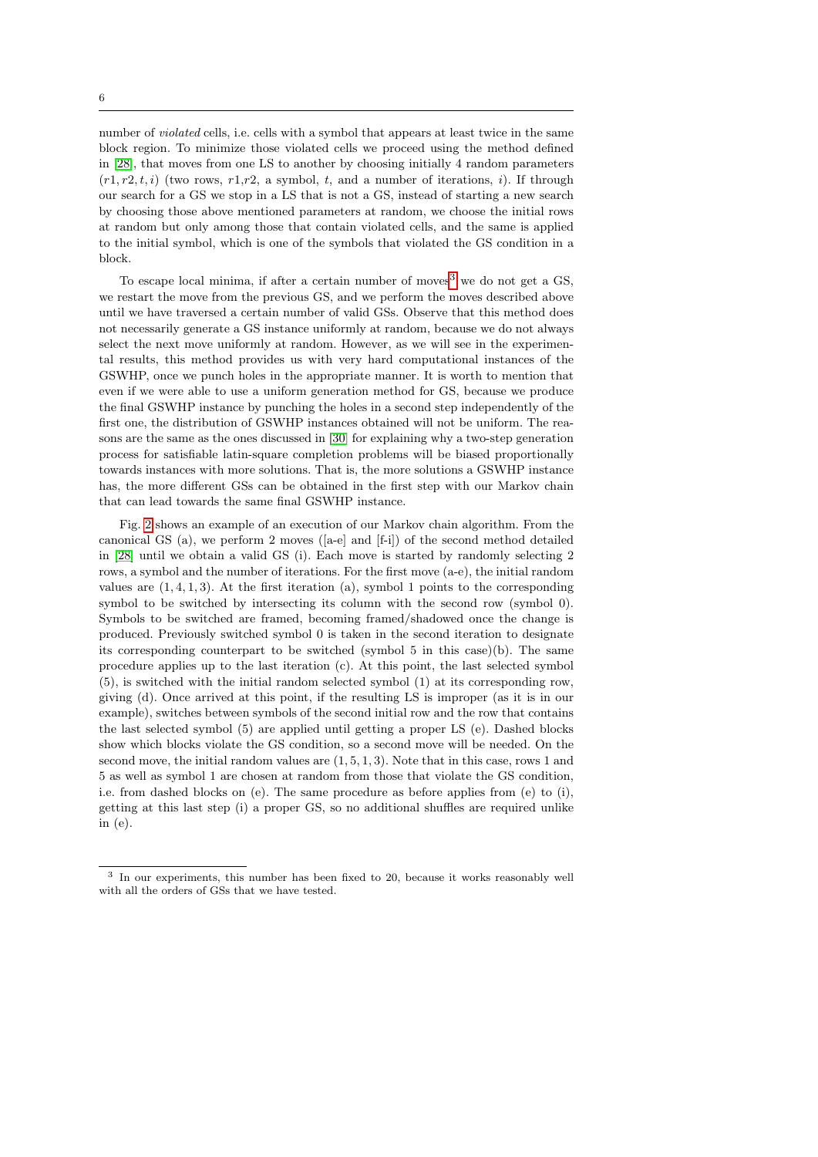6

number of violated cells, i.e. cells with a symbol that appears at least twice in the same block region. To minimize those violated cells we proceed using the method defined in [\[28\]](#page-23-15), that moves from one LS to another by choosing initially 4 random parameters  $(r1, r2, t, i)$  (two rows,  $r1, r2$ , a symbol, t, and a number of iterations, i). If through our search for a GS we stop in a LS that is not a GS, instead of starting a new search by choosing those above mentioned parameters at random, we choose the initial rows at random but only among those that contain violated cells, and the same is applied to the initial symbol, which is one of the symbols that violated the GS condition in a block.

To escape local minima, if after a certain number of moves<sup>[3](#page-5-0)</sup> we do not get a GS. we restart the move from the previous GS, and we perform the moves described above until we have traversed a certain number of valid GSs. Observe that this method does not necessarily generate a GS instance uniformly at random, because we do not always select the next move uniformly at random. However, as we will see in the experimental results, this method provides us with very hard computational instances of the GSWHP, once we punch holes in the appropriate manner. It is worth to mention that even if we were able to use a uniform generation method for GS, because we produce the final GSWHP instance by punching the holes in a second step independently of the first one, the distribution of GSWHP instances obtained will not be uniform. The reasons are the same as the ones discussed in [\[30\]](#page-23-14) for explaining why a two-step generation process for satisfiable latin-square completion problems will be biased proportionally towards instances with more solutions. That is, the more solutions a GSWHP instance has, the more different GSs can be obtained in the first step with our Markov chain that can lead towards the same final GSWHP instance.

Fig. [2](#page-4-0) shows an example of an execution of our Markov chain algorithm. From the canonical GS (a), we perform 2 moves ([a-e] and [f-i]) of the second method detailed in [\[28\]](#page-23-15) until we obtain a valid GS (i). Each move is started by randomly selecting 2 rows, a symbol and the number of iterations. For the first move (a-e), the initial random values are  $(1, 4, 1, 3)$ . At the first iteration (a), symbol 1 points to the corresponding symbol to be switched by intersecting its column with the second row (symbol 0). Symbols to be switched are framed, becoming framed/shadowed once the change is produced. Previously switched symbol 0 is taken in the second iteration to designate its corresponding counterpart to be switched (symbol  $5$  in this case)(b). The same procedure applies up to the last iteration (c). At this point, the last selected symbol (5), is switched with the initial random selected symbol (1) at its corresponding row, giving (d). Once arrived at this point, if the resulting LS is improper (as it is in our example), switches between symbols of the second initial row and the row that contains the last selected symbol (5) are applied until getting a proper LS (e). Dashed blocks show which blocks violate the GS condition, so a second move will be needed. On the second move, the initial random values are  $(1, 5, 1, 3)$ . Note that in this case, rows 1 and 5 as well as symbol 1 are chosen at random from those that violate the GS condition, i.e. from dashed blocks on (e). The same procedure as before applies from (e) to (i), getting at this last step (i) a proper GS, so no additional shuffles are required unlike in (e).

<span id="page-5-0"></span><sup>3</sup> In our experiments, this number has been fixed to 20, because it works reasonably well with all the orders of GSs that we have tested.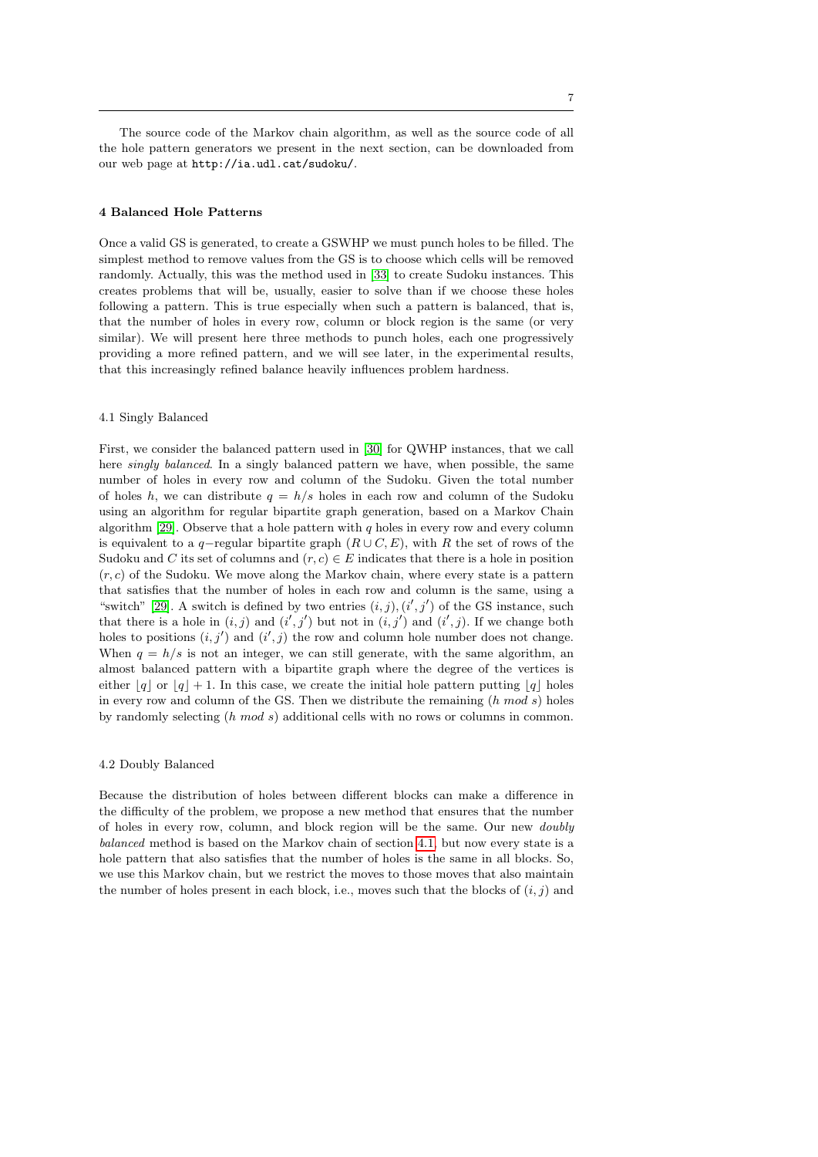The source code of the Markov chain algorithm, as well as the source code of all the hole pattern generators we present in the next section, can be downloaded from our web page at http://ia.udl.cat/sudoku/.

## <span id="page-6-0"></span>4 Balanced Hole Patterns

Once a valid GS is generated, to create a GSWHP we must punch holes to be filled. The simplest method to remove values from the GS is to choose which cells will be removed randomly. Actually, this was the method used in [\[33\]](#page-23-12) to create Sudoku instances. This creates problems that will be, usually, easier to solve than if we choose these holes following a pattern. This is true especially when such a pattern is balanced, that is, that the number of holes in every row, column or block region is the same (or very similar). We will present here three methods to punch holes, each one progressively providing a more refined pattern, and we will see later, in the experimental results, that this increasingly refined balance heavily influences problem hardness.

# <span id="page-6-1"></span>4.1 Singly Balanced

First, we consider the balanced pattern used in [\[30\]](#page-23-14) for QWHP instances, that we call here *singly balanced*. In a singly balanced pattern we have, when possible, the same number of holes in every row and column of the Sudoku. Given the total number of holes h, we can distribute  $q = h/s$  holes in each row and column of the Sudoku using an algorithm for regular bipartite graph generation, based on a Markov Chain algorithm [\[29\]](#page-23-17). Observe that a hole pattern with  $q$  holes in every row and every column is equivalent to a q−regular bipartite graph  $(R\cup C, E)$ , with R the set of rows of the Sudoku and C its set of columns and  $(r, c) \in E$  indicates that there is a hole in position  $(r, c)$  of the Sudoku. We move along the Markov chain, where every state is a pattern that satisfies that the number of holes in each row and column is the same, using a "switch" [\[29\]](#page-23-17). A switch is defined by two entries  $(i, j)$ ,  $(i', j')$  of the GS instance, such that there is a hole in  $(i, j)$  and  $(i', j')$  but not in  $(i, j')$  and  $(i', j)$ . If we change both holes to positions  $(i, j')$  and  $(i', j)$  the row and column hole number does not change. When  $q = h/s$  is not an integer, we can still generate, with the same algorithm, an almost balanced pattern with a bipartite graph where the degree of the vertices is either  $|q|$  or  $|q| + 1$ . In this case, we create the initial hole pattern putting  $|q|$  holes in every row and column of the GS. Then we distribute the remaining  $(h \mod s)$  holes by randomly selecting (h mod s) additional cells with no rows or columns in common.

# 4.2 Doubly Balanced

Because the distribution of holes between different blocks can make a difference in the difficulty of the problem, we propose a new method that ensures that the number of holes in every row, column, and block region will be the same. Our new doubly balanced method is based on the Markov chain of section [4.1,](#page-6-1) but now every state is a hole pattern that also satisfies that the number of holes is the same in all blocks. So, we use this Markov chain, but we restrict the moves to those moves that also maintain the number of holes present in each block, i.e., moves such that the blocks of  $(i, j)$  and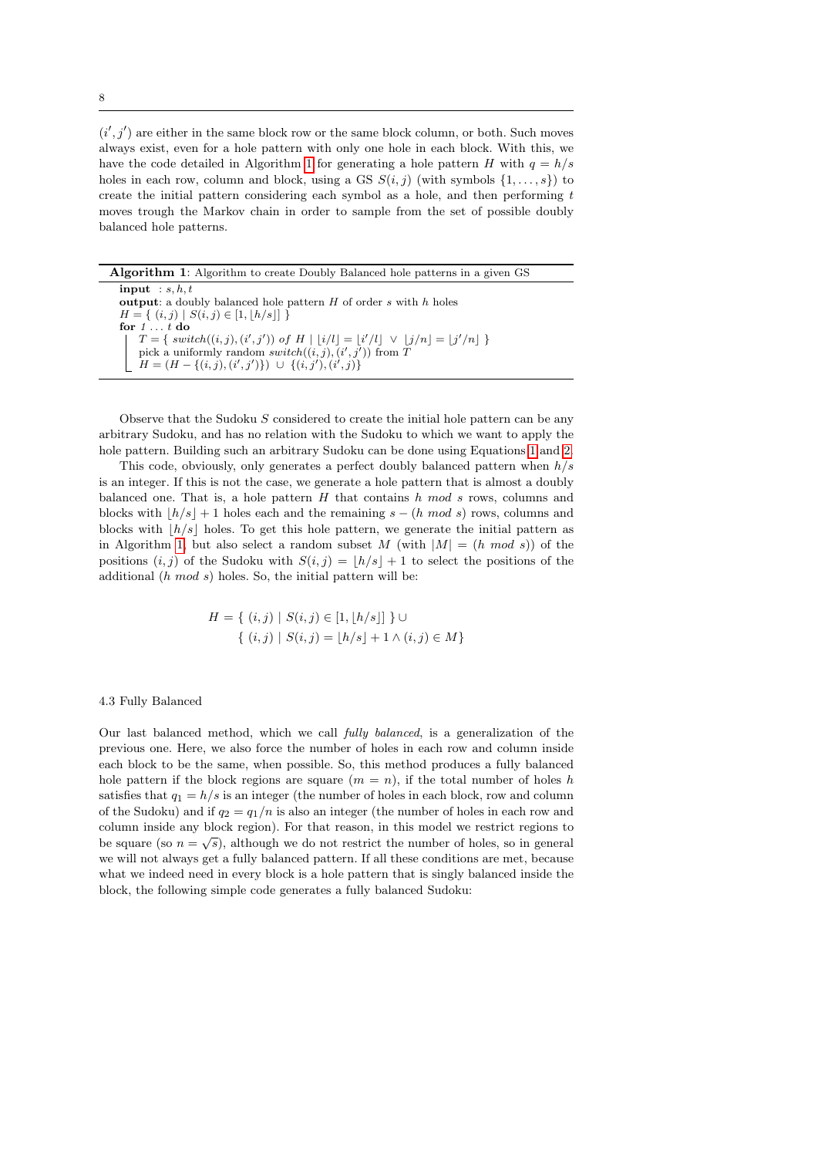$(i', j')$  are either in the same block row or the same block column, or both. Such moves always exist, even for a hole pattern with only one hole in each block. With this, we have the code detailed in Algorithm [1](#page-7-0) for generating a hole pattern H with  $q = h/s$ holes in each row, column and block, using a GS  $S(i, j)$  (with symbols  $\{1, \ldots, s\}$ ) to create the initial pattern considering each symbol as a hole, and then performing t moves trough the Markov chain in order to sample from the set of possible doubly balanced hole patterns.

<span id="page-7-0"></span>Algorithm 1: Algorithm to create Doubly Balanced hole patterns in a given GS

 $input : s, h, t$ output: a doubly balanced hole pattern  $H$  of order  $s$  with  $h$  holes  $H = \{ (i, j) | S(i, j) \in [1, \lfloor h/s \rfloor] \}$ for  $1 \ldots t$  do  $T = \{ switch((i, j), (i', j')) \text{ of } H \mid |i/l| = |i'/l| \lor |j/n| = |j'/n| \}$ pick a uniformly random  $switch((i,j), (i', j'))$  from T  $H = (H - \{(i, j), (i', j')\}) \cup \{(i, j'), (i', j)\}$ 

Observe that the Sudoku  $S$  considered to create the initial hole pattern can be any arbitrary Sudoku, and has no relation with the Sudoku to which we want to apply the hole pattern. Building such an arbitrary Sudoku can be done using Equations [1](#page-2-1) and [2.](#page-2-2)

This code, obviously, only generates a perfect doubly balanced pattern when  $h/s$ is an integer. If this is not the case, we generate a hole pattern that is almost a doubly balanced one. That is, a hole pattern  $H$  that contains  $h \mod s$  rows, columns and blocks with  $|h/s| + 1$  holes each and the remaining  $s - (h \mod s)$  rows, columns and blocks with  $\lfloor h/s \rfloor$  holes. To get this hole pattern, we generate the initial pattern as in Algorithm [1,](#page-7-0) but also select a random subset M (with  $|M| = (h \mod s)$ ) of the positions  $(i, j)$  of the Sudoku with  $S(i, j) = \lfloor h/s \rfloor + 1$  to select the positions of the additional  $(h \mod s)$  holes. So, the initial pattern will be:

$$
H = \{ (i, j) \mid S(i, j) \in [1, \lfloor h/s \rfloor] \} \cup
$$
  

$$
\{ (i, j) \mid S(i, j) = \lfloor h/s \rfloor + 1 \land (i, j) \in M \}
$$

# 4.3 Fully Balanced

Our last balanced method, which we call fully balanced, is a generalization of the previous one. Here, we also force the number of holes in each row and column inside each block to be the same, when possible. So, this method produces a fully balanced hole pattern if the block regions are square  $(m = n)$ , if the total number of holes h satisfies that  $q_1 = h/s$  is an integer (the number of holes in each block, row and column of the Sudoku) and if  $q_2 = q_1/n$  is also an integer (the number of holes in each row and column inside any block region). For that reason, in this model we restrict regions to √ be square (so  $n = \sqrt{s}$ ), although we do not restrict the number of holes, so in general we will not always get a fully balanced pattern. If all these conditions are met, because what we indeed need in every block is a hole pattern that is singly balanced inside the block, the following simple code generates a fully balanced Sudoku: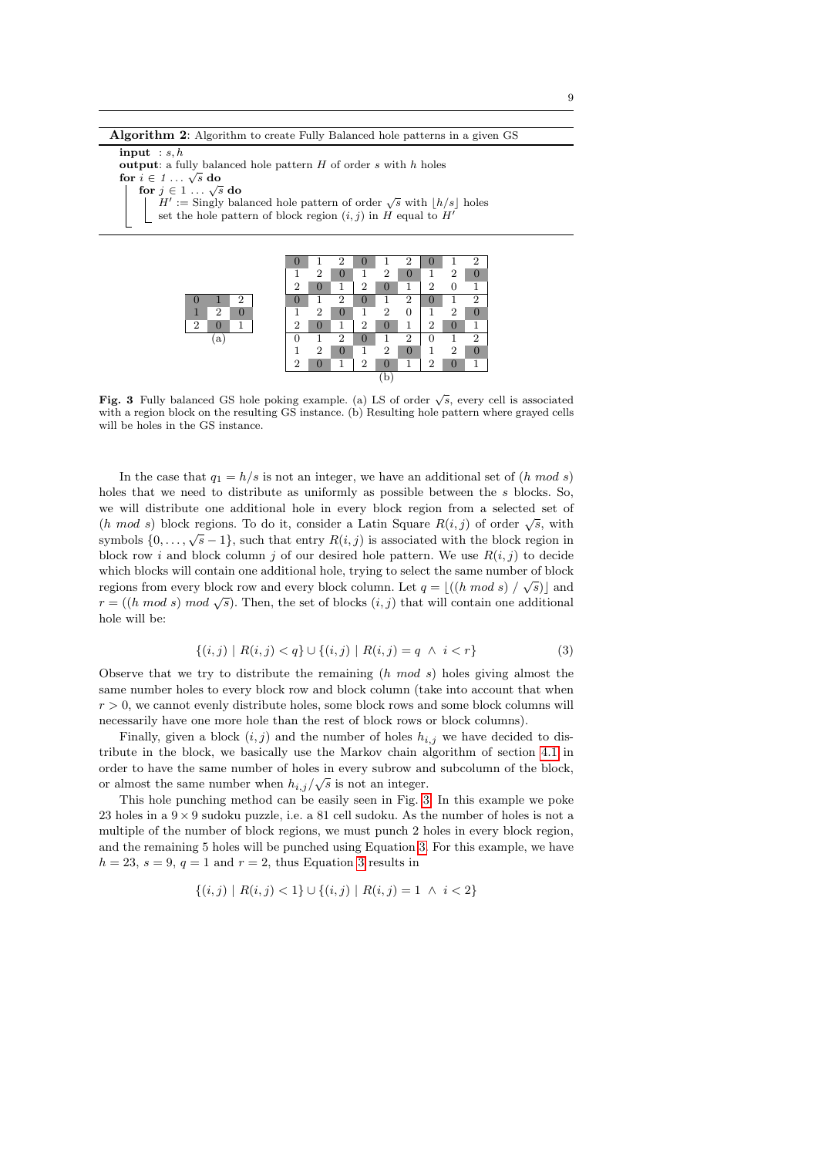Algorithm 2: Algorithm to create Fully Balanced hole patterns in a given GS

input :  $s, h$ 

output: a fully balanced hole pattern  $H$  of order  $s$  with  $h$  holes **for**  $i \in 1 \ldots \sqrt{s}$  do  $i \in I \ldots \sqrt{s}$  do<br>for  $j \in 1 \ldots \sqrt{s}$  do  $H' :=$  Singly balanced hole pattern of order  $\sqrt{s}$  with  $\lfloor h/s \rfloor$  holes

set the hole pattern of block region  $(i, j)$  in H equal to H



<span id="page-8-0"></span>Fig. 3 Fully balanced GS hole poking example. (a) LS of order  $\sqrt{s}$ , every cell is associated with a region block on the resulting GS instance. (b) Resulting hole pattern where grayed cells will be holes in the GS instance.

In the case that  $q_1 = h/s$  is not an integer, we have an additional set of  $(h \mod s)$ holes that we need to distribute as uniformly as possible between the s blocks. So, we will distribute one additional hole in every block region from a selected set of (h mod s) block regions. To do it, consider a Latin Square  $R(i, j)$  of order  $\sqrt{s}$ , with symbols  $\{0, \ldots, \sqrt{s}-1\}$ , such that entry  $R(i, j)$  is associated with the block region in block row i and block column j of our desired hole pattern. We use  $R(i, j)$  to decide which blocks will contain one additional hole, trying to select the same number of block regions from every block row and every block column. Let  $q = |((h \mod s) / \sqrt{s})|$  and regions from every block fow and every block column. Let  $q = \lfloor \frac{(n \mod s)}{s} \rfloor$  and  $r = \lfloor \frac{(n \mod s)}{s} \rfloor$  and  $r = \lfloor \frac{(n \mod s)}{s} \rfloor$ . Then, the set of blocks  $(i, j)$  that will contain one additional hole will be:

<span id="page-8-1"></span>
$$
\{(i,j) \mid R(i,j) < q\} \cup \{(i,j) \mid R(i,j) = q \land i < r\} \tag{3}
$$

Observe that we try to distribute the remaining  $(h \mod s)$  holes giving almost the same number holes to every block row and block column (take into account that when  $r > 0$ , we cannot evenly distribute holes, some block rows and some block columns will necessarily have one more hole than the rest of block rows or block columns).

Finally, given a block  $(i, j)$  and the number of holes  $h_{i,j}$  we have decided to distribute in the block, we basically use the Markov chain algorithm of section [4.1](#page-6-1) in order to have the same number of holes in every subrow and subcolumn of the block, or almost the same number when  $h_{i,j}/\sqrt{s}$  is not an integer.

This hole punching method can be easily seen in Fig. [3.](#page-8-0) In this example we poke 23 holes in a  $9 \times 9$  sudoku puzzle, i.e. a 81 cell sudoku. As the number of holes is not a multiple of the number of block regions, we must punch 2 holes in every block region, and the remaining 5 holes will be punched using Equation [3.](#page-8-1) For this example, we have  $h = 23$ ,  $s = 9$ ,  $q = 1$  and  $r = 2$ , thus Equation [3](#page-8-1) results in

$$
\{(i,j) \mid R(i,j) < 1\} \cup \{(i,j) \mid R(i,j) = 1 \land i < 2\}
$$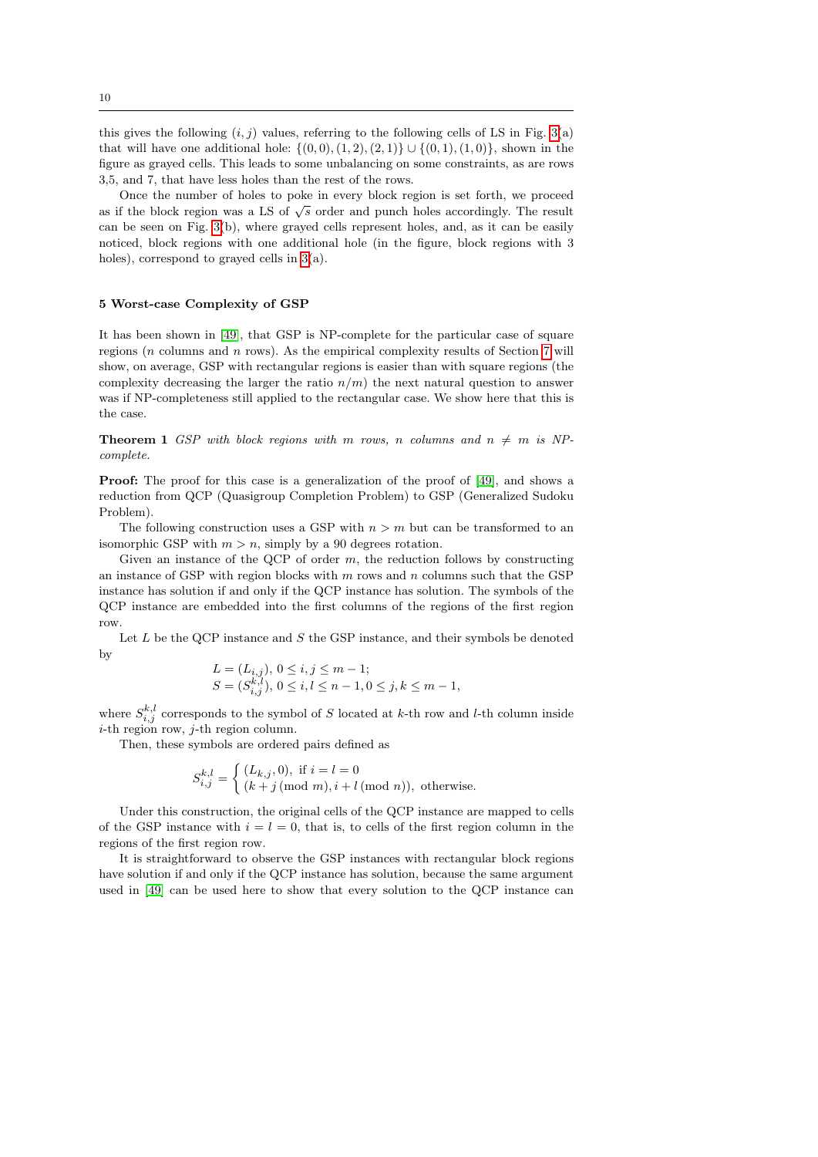this gives the following  $(i, j)$  values, referring to the following cells of LS in Fig. [3\(](#page-8-0)a) that will have one additional hole:  $\{(0, 0), (1, 2), (2, 1)\} \cup \{(0, 1), (1, 0)\}$ , shown in the figure as grayed cells. This leads to some unbalancing on some constraints, as are rows 3,5, and 7, that have less holes than the rest of the rows.

Once the number of holes to poke in every block region is set forth, we proceed as if the block region was a LS of  $\sqrt{s}$  order and punch holes accordingly. The result can be seen on Fig. [3\(](#page-8-0)b), where grayed cells represent holes, and, as it can be easily noticed, block regions with one additional hole (in the figure, block regions with 3 holes), correspond to grayed cells in [3\(](#page-8-0)a).

#### <span id="page-9-0"></span>5 Worst-case Complexity of GSP

It has been shown in [\[49\]](#page-24-5), that GSP is NP-complete for the particular case of square regions  $(n \text{ columns and } n \text{ rows})$ . As the empirical complexity results of Section [7](#page-15-0) will show, on average, GSP with rectangular regions is easier than with square regions (the complexity decreasing the larger the ratio  $n/m$ ) the next natural question to answer was if NP-completeness still applied to the rectangular case. We show here that this is the case.

**Theorem 1** GSP with block regions with m rows, n columns and  $n \neq m$  is NPcomplete.

**Proof:** The proof for this case is a generalization of the proof of [\[49\]](#page-24-5), and shows a reduction from QCP (Quasigroup Completion Problem) to GSP (Generalized Sudoku Problem).

The following construction uses a GSP with  $n > m$  but can be transformed to an isomorphic GSP with  $m > n$ , simply by a 90 degrees rotation.

Given an instance of the QCP of order  $m$ , the reduction follows by constructing an instance of GSP with region blocks with  $m$  rows and  $n$  columns such that the GSP instance has solution if and only if the QCP instance has solution. The symbols of the QCP instance are embedded into the first columns of the regions of the first region row.

Let  $L$  be the QCP instance and  $S$  the GSP instance, and their symbols be denoted by

$$
L = (L_{i,j}), 0 \le i, j \le m-1; S = (S_{i,j}^{k,l}), 0 \le i, l \le n-1, 0 \le j, k \le m-1,
$$

where  $S_{i,j}^{k,l}$  corresponds to the symbol of S located at k-th row and l-th column inside  $i$ -th region row,  $j$ -th region column.

Then, these symbols are ordered pairs defined as

$$
S_{i,j}^{k,l} = \begin{cases} (L_{k,j}, 0), & \text{if } i = l = 0\\ (k+j \pmod{m}, i+l \pmod{n}), & \text{otherwise.} \end{cases}
$$

Under this construction, the original cells of the QCP instance are mapped to cells of the GSP instance with  $i = l = 0$ , that is, to cells of the first region column in the regions of the first region row.

It is straightforward to observe the GSP instances with rectangular block regions have solution if and only if the QCP instance has solution, because the same argument used in [\[49\]](#page-24-5) can be used here to show that every solution to the QCP instance can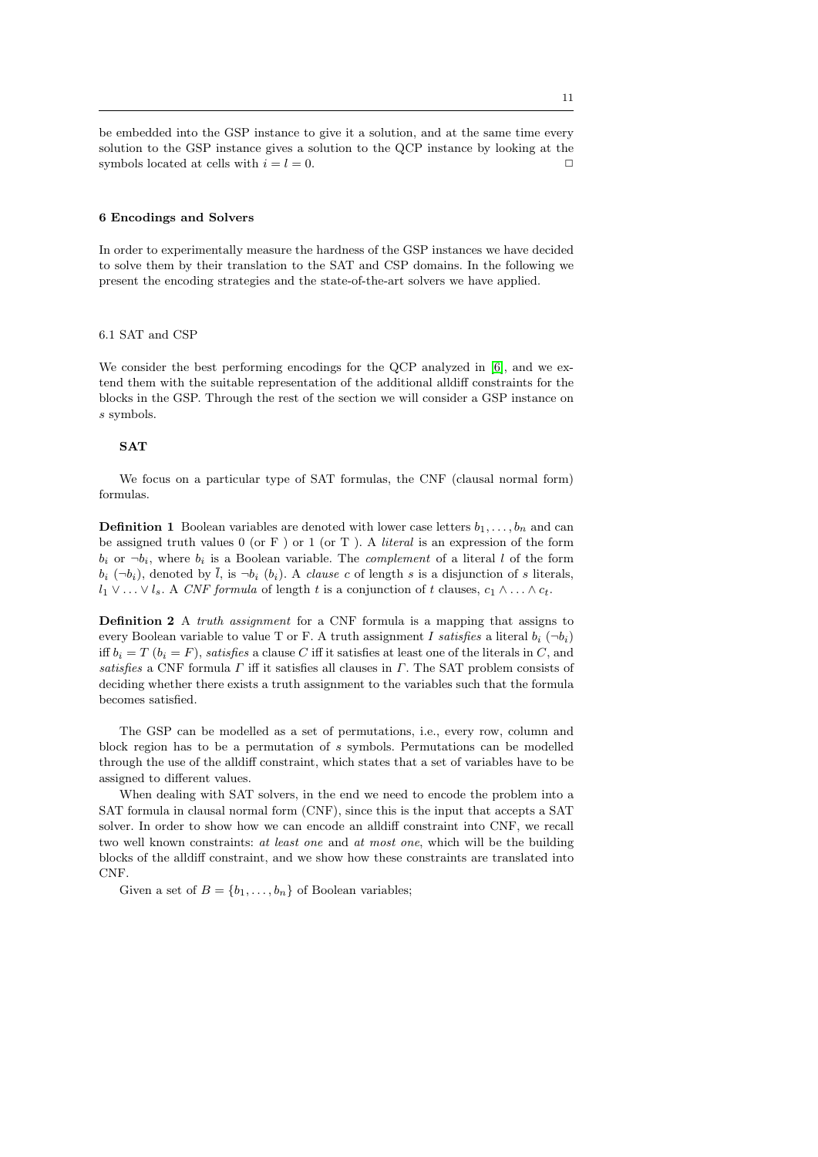be embedded into the GSP instance to give it a solution, and at the same time every solution to the GSP instance gives a solution to the QCP instance by looking at the symbols located at cells with  $i = l = 0$ .

# <span id="page-10-0"></span>6 Encodings and Solvers

In order to experimentally measure the hardness of the GSP instances we have decided to solve them by their translation to the SAT and CSP domains. In the following we present the encoding strategies and the state-of-the-art solvers we have applied.

#### 6.1 SAT and CSP

We consider the best performing encodings for the QCP analyzed in [\[6\]](#page-22-12), and we extend them with the suitable representation of the additional alldiff constraints for the blocks in the GSP. Through the rest of the section we will consider a GSP instance on s symbols.

## SAT

We focus on a particular type of SAT formulas, the CNF (clausal normal form) formulas.

**Definition 1** Boolean variables are denoted with lower case letters  $b_1, \ldots, b_n$  and can be assigned truth values  $0$  (or F) or 1 (or T). A *literal* is an expression of the form  $b_i$  or  $\neg b_i$ , where  $b_i$  is a Boolean variable. The *complement* of a literal l of the form  $b_i$   $(\neg b_i)$ , denoted by  $\overline{l}$ , is  $\neg b_i$   $(b_i)$ . A *clause c* of length s is a disjunction of s literals,  $l_1 \vee \ldots \vee l_s$ . A CNF formula of length t is a conjunction of t clauses,  $c_1 \wedge \ldots \wedge c_t$ .

<span id="page-10-1"></span>Definition 2 A *truth assignment* for a CNF formula is a mapping that assigns to every Boolean variable to value T or F. A truth assignment I satisfies a literal  $b_i$  ( $\neg b_i$ ) iff  $b_i = T$  ( $b_i = F$ ), satisfies a clause C iff it satisfies at least one of the literals in C, and satisfies a CNF formula  $\Gamma$  iff it satisfies all clauses in  $\Gamma$ . The SAT problem consists of deciding whether there exists a truth assignment to the variables such that the formula becomes satisfied.

The GSP can be modelled as a set of permutations, i.e., every row, column and block region has to be a permutation of s symbols. Permutations can be modelled through the use of the alldiff constraint, which states that a set of variables have to be assigned to different values.

When dealing with SAT solvers, in the end we need to encode the problem into a SAT formula in clausal normal form (CNF), since this is the input that accepts a SAT solver. In order to show how we can encode an alldiff constraint into CNF, we recall two well known constraints: at least one and at most one, which will be the building blocks of the alldiff constraint, and we show how these constraints are translated into CNF.

Given a set of  $B = \{b_1, \ldots, b_n\}$  of Boolean variables;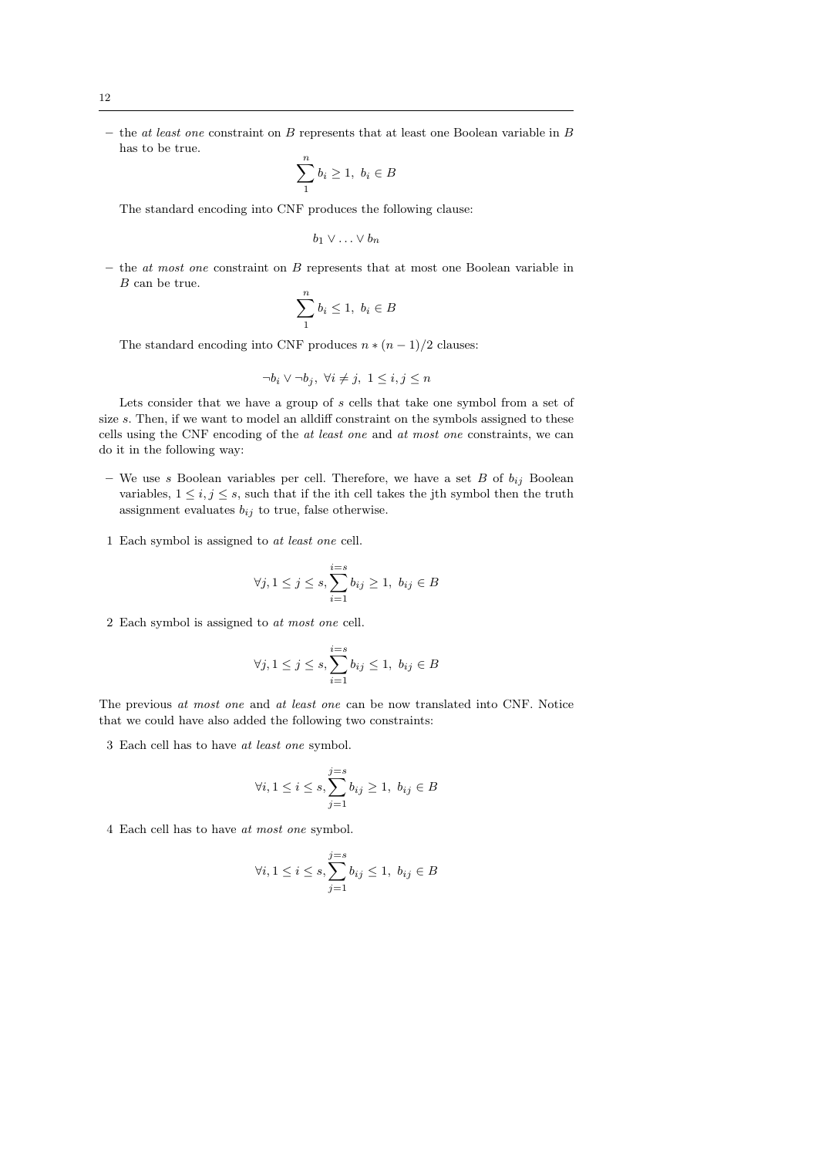$-$  the *at least one* constraint on  $B$  represents that at least one Boolean variable in  $B$ has to be true.

$$
\sum_{1}^{n} b_i \ge 1, \ b_i \in B
$$

The standard encoding into CNF produces the following clause:

$$
b_1 \vee \ldots \vee b_n
$$

 $-$  the *at most one* constraint on  $B$  represents that at most one Boolean variable in B can be true.

$$
\sum_{1}^{n} b_i \le 1, \ b_i \in B
$$

The standard encoding into CNF produces  $n * (n - 1)/2$  clauses:

$$
\neg b_i \vee \neg b_j, \ \forall i \neq j, \ 1 \leq i, j \leq n
$$

Lets consider that we have a group of s cells that take one symbol from a set of size s. Then, if we want to model an all iff constraint on the symbols assigned to these cells using the CNF encoding of the at least one and at most one constraints, we can do it in the following way:

- We use s Boolean variables per cell. Therefore, we have a set B of  $b_{ij}$  Boolean variables,  $1 \leq i, j \leq s$ , such that if the ith cell takes the jth symbol then the truth assignment evaluates  $b_{ij}$  to true, false otherwise.
- 1 Each symbol is assigned to at least one cell.

$$
\forall j, 1 \le j \le s, \sum_{i=1}^{i=s} b_{ij} \ge 1, \ b_{ij} \in B
$$

2 Each symbol is assigned to at most one cell.

$$
\forall j, 1 \le j \le s, \sum_{i=1}^{i=s} b_{ij} \le 1, b_{ij} \in B
$$

The previous at most one and at least one can be now translated into CNF. Notice that we could have also added the following two constraints:

3 Each cell has to have at least one symbol.

$$
\forall i, 1 \le i \le s, \sum_{j=1}^{j=s} b_{ij} \ge 1, \ b_{ij} \in B
$$

4 Each cell has to have at most one symbol.

$$
\forall i, 1 \le i \le s, \sum_{j=1}^{j=s} b_{ij} \le 1, \ b_{ij} \in B
$$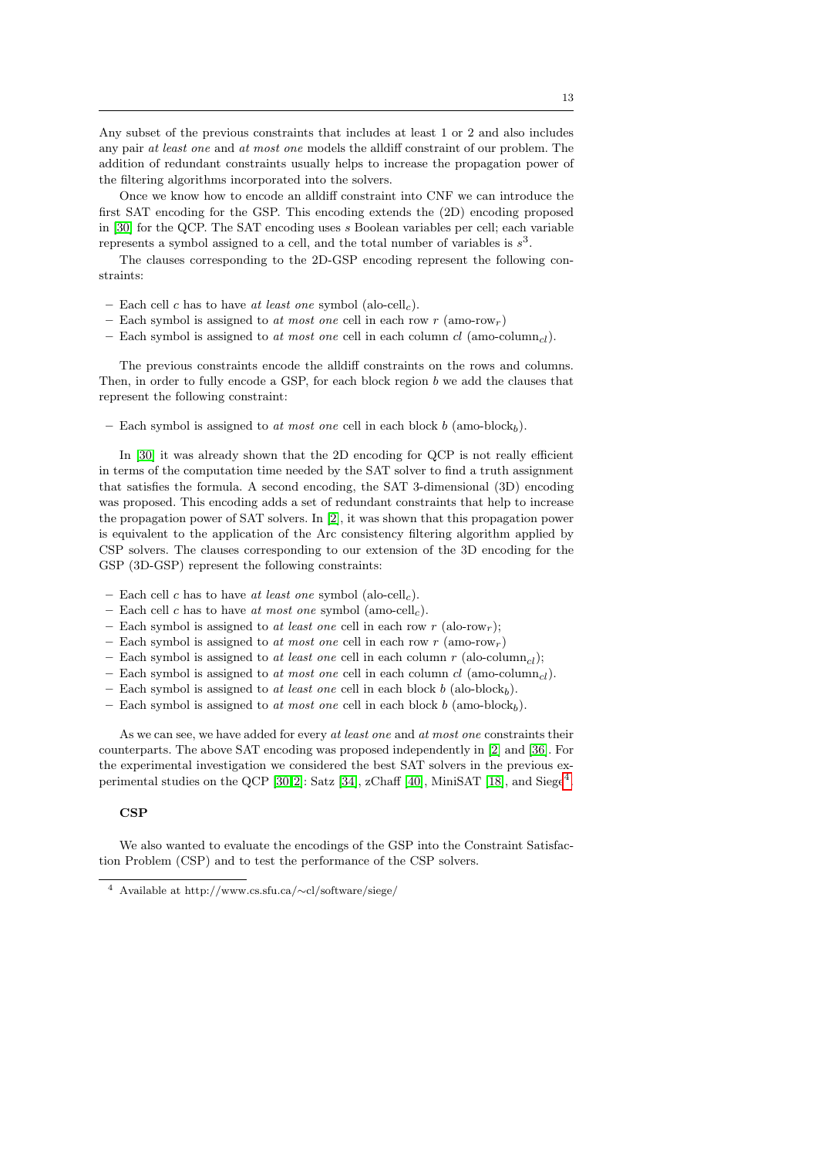Any subset of the previous constraints that includes at least 1 or 2 and also includes any pair at least one and at most one models the alldiff constraint of our problem. The addition of redundant constraints usually helps to increase the propagation power of the filtering algorithms incorporated into the solvers.

Once we know how to encode an alldiff constraint into CNF we can introduce the first SAT encoding for the GSP. This encoding extends the (2D) encoding proposed in [\[30\]](#page-23-14) for the QCP. The SAT encoding uses s Boolean variables per cell; each variable represents a symbol assigned to a cell, and the total number of variables is  $s^3$ .

The clauses corresponding to the 2D-GSP encoding represent the following constraints:

- Each cell c has to have at least one symbol (alo-cell<sub>c</sub>).
- Each symbol is assigned to at most one cell in each row r (amo-row<sub>r</sub>)
- Each symbol is assigned to at most one cell in each column  $cl$  (amo-column<sub>cl</sub>).

The previous constraints encode the alldiff constraints on the rows and columns. Then, in order to fully encode a GSP, for each block region  $b$  we add the clauses that represent the following constraint:

– Each symbol is assigned to at most one cell in each block  $b$  (amo-block<sub>b</sub>).

In [\[30\]](#page-23-14) it was already shown that the 2D encoding for QCP is not really efficient in terms of the computation time needed by the SAT solver to find a truth assignment that satisfies the formula. A second encoding, the SAT 3-dimensional (3D) encoding was proposed. This encoding adds a set of redundant constraints that help to increase the propagation power of SAT solvers. In [\[2\]](#page-22-2), it was shown that this propagation power is equivalent to the application of the Arc consistency filtering algorithm applied by CSP solvers. The clauses corresponding to our extension of the 3D encoding for the GSP (3D-GSP) represent the following constraints:

- Each cell c has to have at least one symbol (alo-cell<sub>c</sub>).
- Each cell c has to have at most one symbol (amo-cell<sub>c</sub>).
- Each symbol is assigned to at least one cell in each row r (alo-row<sub>r</sub>);
- Each symbol is assigned to at most one cell in each row r (amo-row<sub>r</sub>)
- Each symbol is assigned to at least one cell in each column  $r$  (alo-column<sub>cl</sub>);
- Each symbol is assigned to at most one cell in each column cl (amo-column<sub>cl</sub>).
- Each symbol is assigned to at least one cell in each block b (alo-block<sub>b</sub>).
- Each symbol is assigned to at most one cell in each block b (amo-block<sub>b</sub>).

As we can see, we have added for every at least one and at most one constraints their counterparts. The above SAT encoding was proposed independently in [\[2\]](#page-22-2) and [\[36\]](#page-23-11). For the experimental investigation we considered the best SAT solvers in the previous ex-perimental studies on the QCP [\[30,](#page-23-14)2]: Satz [\[34\]](#page-23-18), zChaff [\[40\]](#page-23-19), MiniSAT [\[18\]](#page-22-13), and Siege<sup>[4](#page-12-0)</sup>.

#### **CSP**

We also wanted to evaluate the encodings of the GSP into the Constraint Satisfaction Problem (CSP) and to test the performance of the CSP solvers.

<span id="page-12-0"></span><sup>4</sup> Available at http://www.cs.sfu.ca/∼cl/software/siege/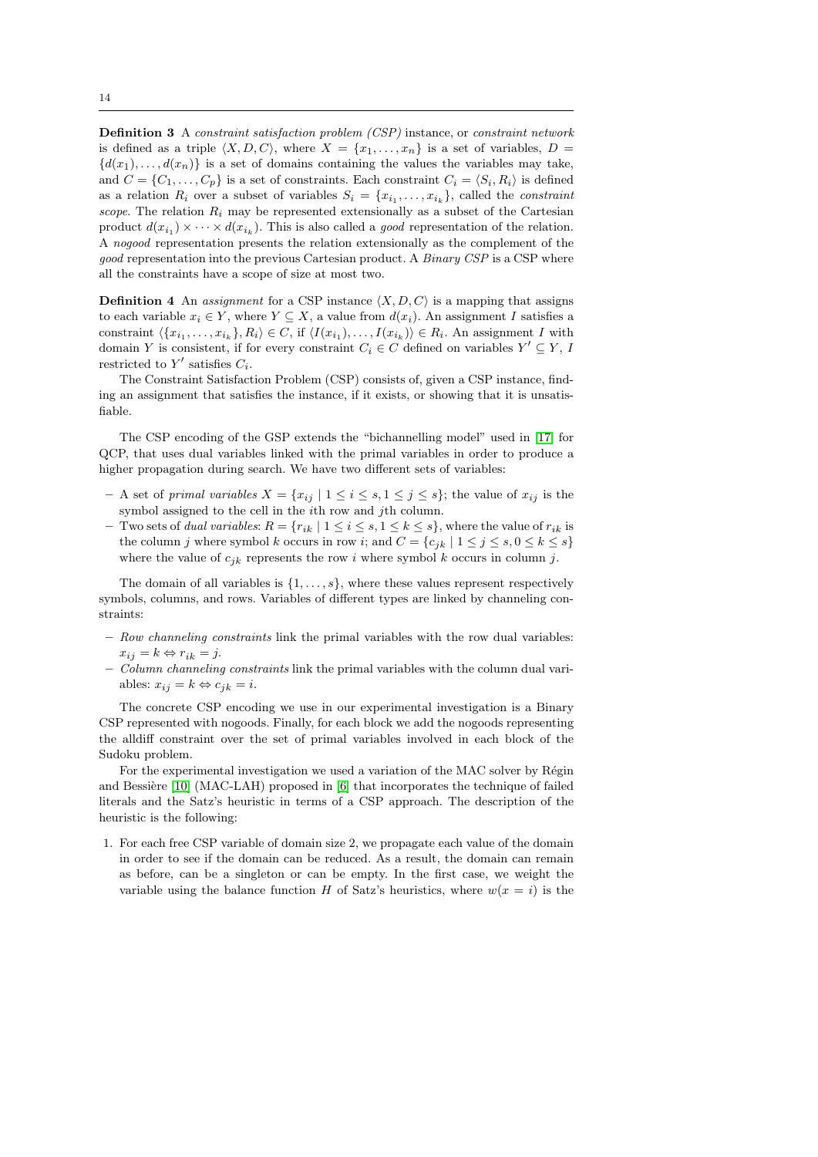Definition 3 A constraint satisfaction problem (CSP) instance, or constraint network is defined as a triple  $\langle X, D, C \rangle$ , where  $X = \{x_1, \ldots, x_n\}$  is a set of variables,  $D =$  ${d(x_1), \ldots, d(x_n)}$  is a set of domains containing the values the variables may take, and  $C = \{C_1, \ldots, C_p\}$  is a set of constraints. Each constraint  $C_i = \langle S_i, R_i \rangle$  is defined as a relation  $R_i$  over a subset of variables  $S_i = \{x_{i_1}, \ldots, x_{i_k}\},$  called the *constraint* scope. The relation  $R_i$  may be represented extensionally as a subset of the Cartesian product  $d(x_{i_1}) \times \cdots \times d(x_{i_k})$ . This is also called a *good* representation of the relation. A nogood representation presents the relation extensionally as the complement of the good representation into the previous Cartesian product. A *Binary CSP* is a CSP where all the constraints have a scope of size at most two.

**Definition 4** An *assignment* for a CSP instance  $\langle X, D, C \rangle$  is a mapping that assigns to each variable  $x_i \in Y$ , where  $Y \subseteq X$ , a value from  $d(x_i)$ . An assignment I satisfies a constraint  $\langle \{x_{i_1},...,x_{i_k}\}, R_i \rangle \in C$ , if  $\langle I(x_{i_1}),..., I(x_{i_k}) \rangle \in R_i$ . An assignment I with domain Y is consistent, if for every constraint  $C_i \in C$  defined on variables  $Y' \subseteq Y$ , I restricted to  $Y'$  satisfies  $C_i$ .

The Constraint Satisfaction Problem (CSP) consists of, given a CSP instance, finding an assignment that satisfies the instance, if it exists, or showing that it is unsatisfiable.

The CSP encoding of the GSP extends the "bichannelling model" used in [\[17\]](#page-22-14) for QCP, that uses dual variables linked with the primal variables in order to produce a higher propagation during search. We have two different sets of variables:

- A set of primal variables  $X = \{x_{ij} \mid 1 \leq i \leq s, 1 \leq j \leq s\}$ ; the value of  $x_{ij}$  is the symbol assigned to the cell in the ith row and jth column.
- Two sets of *dual variables:*  $R = \{r_{ik} \mid 1 \leq i \leq s, 1 \leq k \leq s\}$ , where the value of  $r_{ik}$  is the column j where symbol k occurs in row i; and  $C = \{c_{ik} | 1 \le j \le s, 0 \le k \le s\}$ where the value of  $c_{ik}$  represents the row i where symbol k occurs in column j.

The domain of all variables is  $\{1, \ldots, s\}$ , where these values represent respectively symbols, columns, and rows. Variables of different types are linked by channeling constraints:

- Row channeling constraints link the primal variables with the row dual variables:  $x_{ij} = k \Leftrightarrow r_{ik} = j.$
- Column channeling constraints link the primal variables with the column dual variables:  $x_{ij} = k \Leftrightarrow c_{jk} = i$ .

The concrete CSP encoding we use in our experimental investigation is a Binary CSP represented with nogoods. Finally, for each block we add the nogoods representing the alldiff constraint over the set of primal variables involved in each block of the Sudoku problem.

For the experimental investigation we used a variation of the MAC solver by Régin and Bessière  $[10]$  (MAC-LAH) proposed in  $[6]$  that incorporates the technique of failed literals and the Satz's heuristic in terms of a CSP approach. The description of the heuristic is the following:

1. For each free CSP variable of domain size 2, we propagate each value of the domain in order to see if the domain can be reduced. As a result, the domain can remain as before, can be a singleton or can be empty. In the first case, we weight the variable using the balance function H of Satz's heuristics, where  $w(x = i)$  is the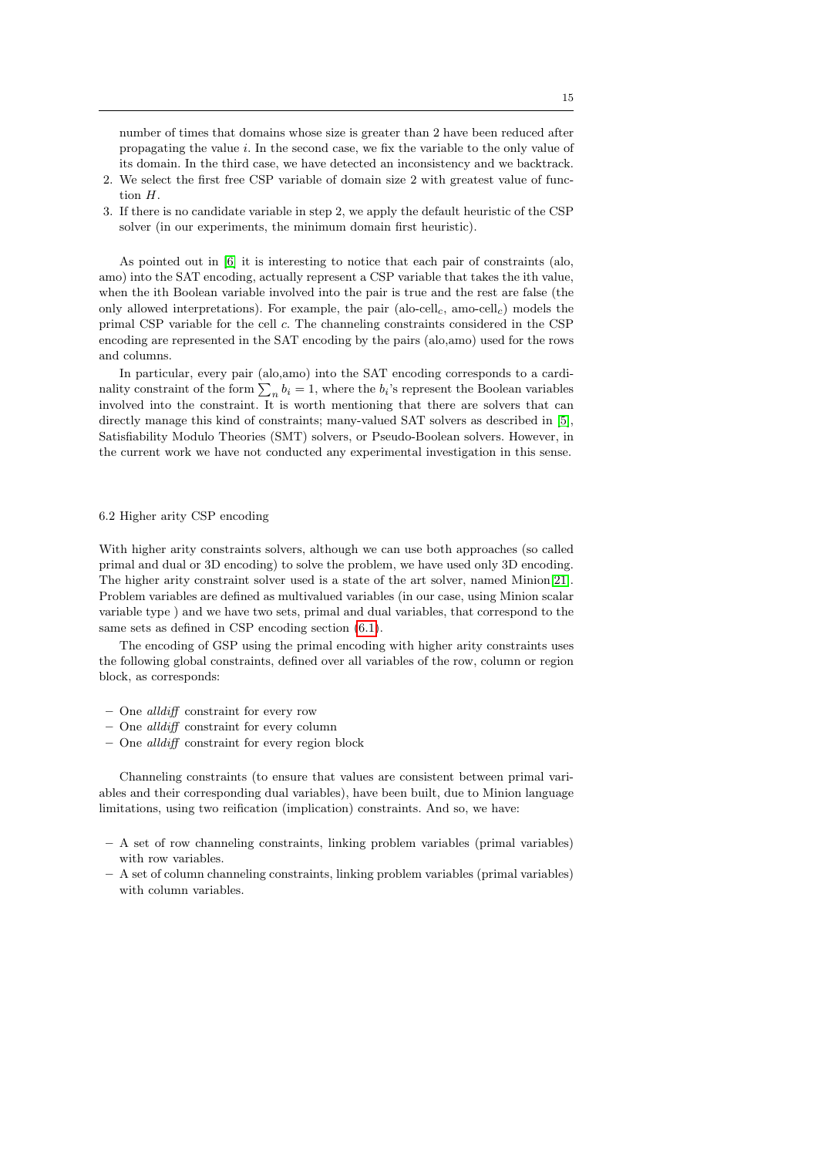number of times that domains whose size is greater than 2 have been reduced after propagating the value i. In the second case, we fix the variable to the only value of its domain. In the third case, we have detected an inconsistency and we backtrack.

- 2. We select the first free CSP variable of domain size 2 with greatest value of function H.
- 3. If there is no candidate variable in step 2, we apply the default heuristic of the CSP solver (in our experiments, the minimum domain first heuristic).

As pointed out in [\[6\]](#page-22-12) it is interesting to notice that each pair of constraints (alo, amo) into the SAT encoding, actually represent a CSP variable that takes the ith value, when the ith Boolean variable involved into the pair is true and the rest are false (the only allowed interpretations). For example, the pair (alo-cell<sub>c</sub>, amo-cell<sub>c</sub>) models the primal CSP variable for the cell c. The channeling constraints considered in the CSP encoding are represented in the SAT encoding by the pairs (alo,amo) used for the rows and columns.

In particular, every pair (alo,amo) into the SAT encoding corresponds to a cardinality constraint of the form  $\sum_{n} b_i = 1$ , where the  $b_i$ 's represent the Boolean variables involved into the constraint. It is worth mentioning that there are solvers that can directly manage this kind of constraints; many-valued SAT solvers as described in [\[5\]](#page-22-16), Satisfiability Modulo Theories (SMT) solvers, or Pseudo-Boolean solvers. However, in the current work we have not conducted any experimental investigation in this sense.

# 6.2 Higher arity CSP encoding

With higher arity constraints solvers, although we can use both approaches (so called primal and dual or 3D encoding) to solve the problem, we have used only 3D encoding. The higher arity constraint solver used is a state of the art solver, named Minion[\[21\]](#page-23-20). Problem variables are defined as multivalued variables (in our case, using Minion scalar variable type ) and we have two sets, primal and dual variables, that correspond to the same sets as defined in CSP encoding section [\(6.1\)](#page-10-1).

The encoding of GSP using the primal encoding with higher arity constraints uses the following global constraints, defined over all variables of the row, column or region block, as corresponds:

- One alldiff constraint for every row
- One alldiff constraint for every column
- One alldiff constraint for every region block

Channeling constraints (to ensure that values are consistent between primal variables and their corresponding dual variables), have been built, due to Minion language limitations, using two reification (implication) constraints. And so, we have:

- A set of row channeling constraints, linking problem variables (primal variables) with row variables.
- A set of column channeling constraints, linking problem variables (primal variables) with column variables.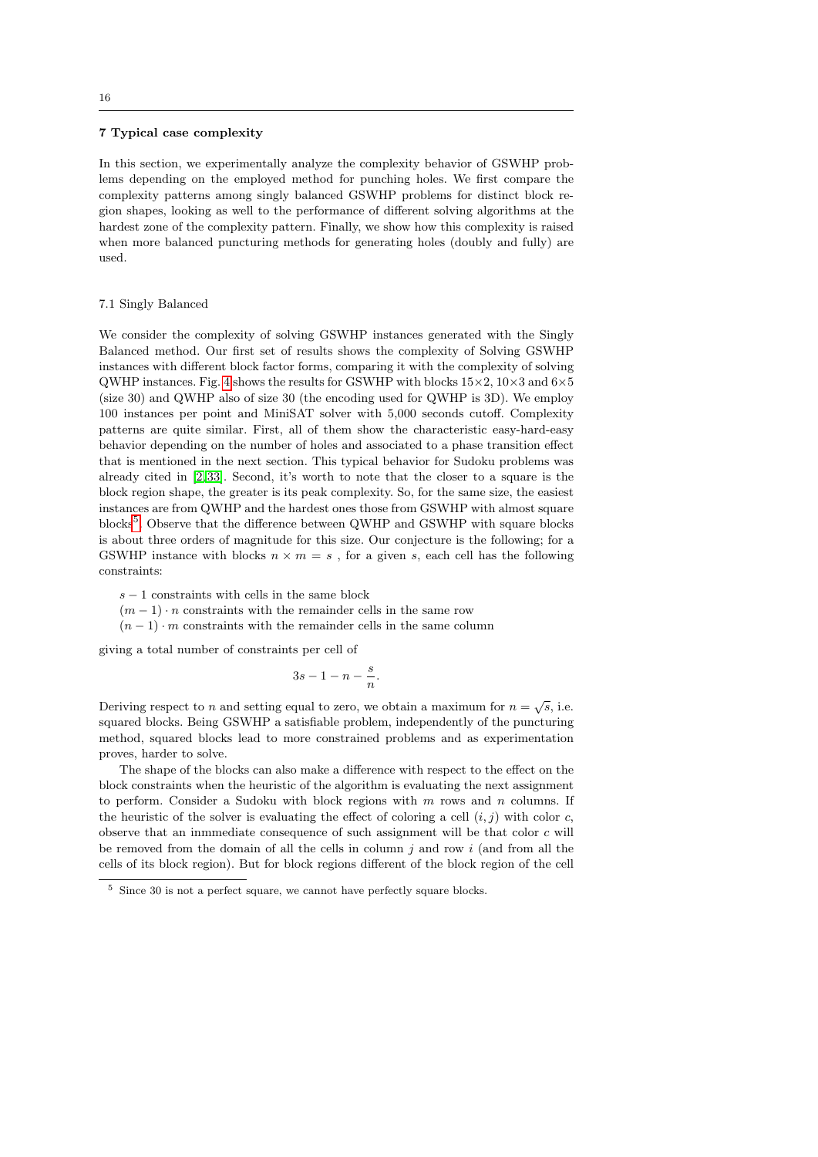#### <span id="page-15-0"></span>7 Typical case complexity

In this section, we experimentally analyze the complexity behavior of GSWHP problems depending on the employed method for punching holes. We first compare the complexity patterns among singly balanced GSWHP problems for distinct block region shapes, looking as well to the performance of different solving algorithms at the hardest zone of the complexity pattern. Finally, we show how this complexity is raised when more balanced puncturing methods for generating holes (doubly and fully) are used.

#### 7.1 Singly Balanced

We consider the complexity of solving GSWHP instances generated with the Singly Balanced method. Our first set of results shows the complexity of Solving GSWHP instances with different block factor forms, comparing it with the complexity of solving QWHP instances. Fig. [4](#page-16-0) shows the results for GSWHP with blocks  $15\times2$ ,  $10\times3$  and  $6\times5$ (size 30) and QWHP also of size 30 (the encoding used for QWHP is 3D). We employ 100 instances per point and MiniSAT solver with 5,000 seconds cutoff. Complexity patterns are quite similar. First, all of them show the characteristic easy-hard-easy behavior depending on the number of holes and associated to a phase transition effect that is mentioned in the next section. This typical behavior for Sudoku problems was already cited in [\[2,](#page-22-2) [33\]](#page-23-12). Second, it's worth to note that the closer to a square is the block region shape, the greater is its peak complexity. So, for the same size, the easiest instances are from QWHP and the hardest ones those from GSWHP with almost square blocks<sup>[5](#page-15-1)</sup>. Observe that the difference between QWHP and GSWHP with square blocks is about three orders of magnitude for this size. Our conjecture is the following; for a GSWHP instance with blocks  $n \times m = s$ , for a given s, each cell has the following constraints:

- $s 1$  constraints with cells in the same block
- $(m-1) \cdot n$  constraints with the remainder cells in the same row
- $(n 1) \cdot m$  constraints with the remainder cells in the same column

giving a total number of constraints per cell of

$$
3s - 1 - n - \frac{s}{n}.
$$

Deriving respect to *n* and setting equal to zero, we obtain a maximum for  $n = \sqrt{s}$ , i.e. squared blocks. Being GSWHP a satisfiable problem, independently of the puncturing method, squared blocks lead to more constrained problems and as experimentation proves, harder to solve.

The shape of the blocks can also make a difference with respect to the effect on the block constraints when the heuristic of the algorithm is evaluating the next assignment to perform. Consider a Sudoku with block regions with  $m$  rows and  $n$  columns. If the heuristic of the solver is evaluating the effect of coloring a cell  $(i, j)$  with color c, observe that an inmmediate consequence of such assignment will be that color  $c$  will be removed from the domain of all the cells in column  $j$  and row  $i$  (and from all the cells of its block region). But for block regions different of the block region of the cell

<span id="page-15-1"></span><sup>5</sup> Since 30 is not a perfect square, we cannot have perfectly square blocks.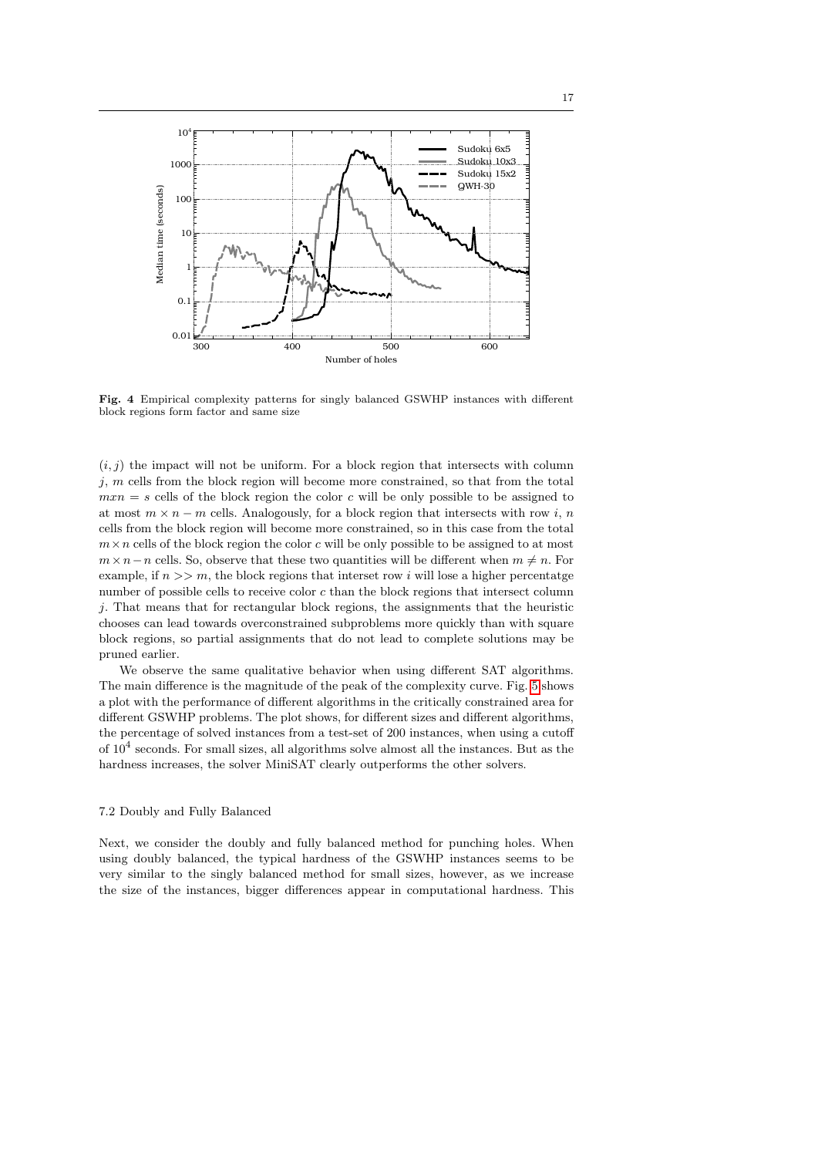

<span id="page-16-0"></span>Fig. 4 Empirical complexity patterns for singly balanced GSWHP instances with different block regions form factor and same size

 $(i, j)$  the impact will not be uniform. For a block region that intersects with column  $j, m$  cells from the block region will become more constrained, so that from the total  $mxn = s$  cells of the block region the color c will be only possible to be assigned to at most  $m \times n - m$  cells. Analogously, for a block region that intersects with row i, n cells from the block region will become more constrained, so in this case from the total  $m \times n$  cells of the block region the color c will be only possible to be assigned to at most  $m \times n-n$  cells. So, observe that these two quantities will be different when  $m \neq n$ . For example, if  $n >> m$ , the block regions that interset row i will lose a higher percentatge number of possible cells to receive color  $c$  than the block regions that intersect column j. That means that for rectangular block regions, the assignments that the heuristic chooses can lead towards overconstrained subproblems more quickly than with square block regions, so partial assignments that do not lead to complete solutions may be pruned earlier.

We observe the same qualitative behavior when using different SAT algorithms. The main difference is the magnitude of the peak of the complexity curve. Fig. [5](#page-17-0) shows a plot with the performance of different algorithms in the critically constrained area for different GSWHP problems. The plot shows, for different sizes and different algorithms, the percentage of solved instances from a test-set of 200 instances, when using a cutoff of  $10^4$  seconds. For small sizes, all algorithms solve almost all the instances. But as the hardness increases, the solver MiniSAT clearly outperforms the other solvers.

#### 7.2 Doubly and Fully Balanced

Next, we consider the doubly and fully balanced method for punching holes. When using doubly balanced, the typical hardness of the GSWHP instances seems to be very similar to the singly balanced method for small sizes, however, as we increase the size of the instances, bigger differences appear in computational hardness. This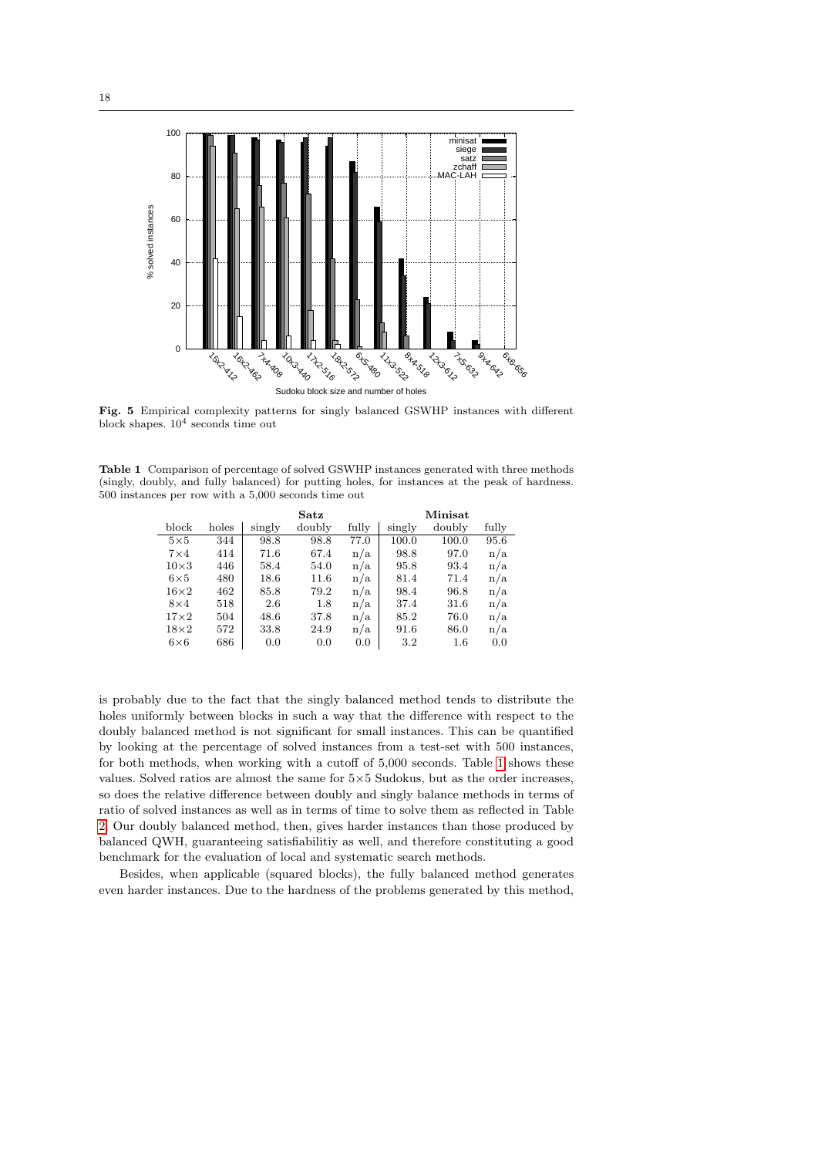

<span id="page-17-0"></span>Fig. 5 Empirical complexity patterns for singly balanced GSWHP instances with different block shapes.  $10^4$  seconds time out

<span id="page-17-1"></span>Table 1 Comparison of percentage of solved GSWHP instances generated with three methods (singly, doubly, and fully balanced) for putting holes, for instances at the peak of hardness. 500 instances per row with a 5,000 seconds time out

|             |       | Satz   |        |       | Minisat |         |       |
|-------------|-------|--------|--------|-------|---------|---------|-------|
| block       | holes | singly | doubly | fully | singly  | doubly  | fully |
| $5\times5$  | 344   | 98.8   | 98.8   | 77.0  | 100.0   | 100.0   | 95.6  |
| $7\times4$  | 414   | 71.6   | 67.4   | n/a   | 98.8    | 97.0    | n/a   |
| $10\times3$ | 446   | 58.4   | 54.0   | n/a   | 95.8    | 93.4    | n/a   |
| $6\times5$  | 480   | 18.6   | 11.6   | n/a   | 81.4    | 71.4    | n/a   |
| $16\times2$ | 462   | 85.8   | 79.2   | n/a   | 98.4    | 96.8    | n/a   |
| $8\times4$  | 518   | 2.6    | 1.8    | n/a   | 37.4    | 31.6    | n/a   |
| $17\times2$ | 504   | 48.6   | 37.8   | n/a   | 85.2    | 76.0    | n/a   |
| $18\times2$ | 572   | 33.8   | 24.9   | n/a   | 91.6    | 86.0    | n/a   |
| $6\times 6$ | 686   | 0.0    | 0.0    | 0.0   | 3.2     | $1.6\,$ | 0.0   |

is probably due to the fact that the singly balanced method tends to distribute the holes uniformly between blocks in such a way that the difference with respect to the doubly balanced method is not significant for small instances. This can be quantified by looking at the percentage of solved instances from a test-set with 500 instances, for both methods, when working with a cutoff of 5,000 seconds. Table [1](#page-17-1) shows these values. Solved ratios are almost the same for  $5\times5$  Sudokus, but as the order increases, so does the relative difference between doubly and singly balance methods in terms of ratio of solved instances as well as in terms of time to solve them as reflected in Table [2.](#page-18-1) Our doubly balanced method, then, gives harder instances than those produced by balanced QWH, guaranteeing satisfiabilitiy as well, and therefore constituting a good benchmark for the evaluation of local and systematic search methods.

Besides, when applicable (squared blocks), the fully balanced method generates even harder instances. Due to the hardness of the problems generated by this method,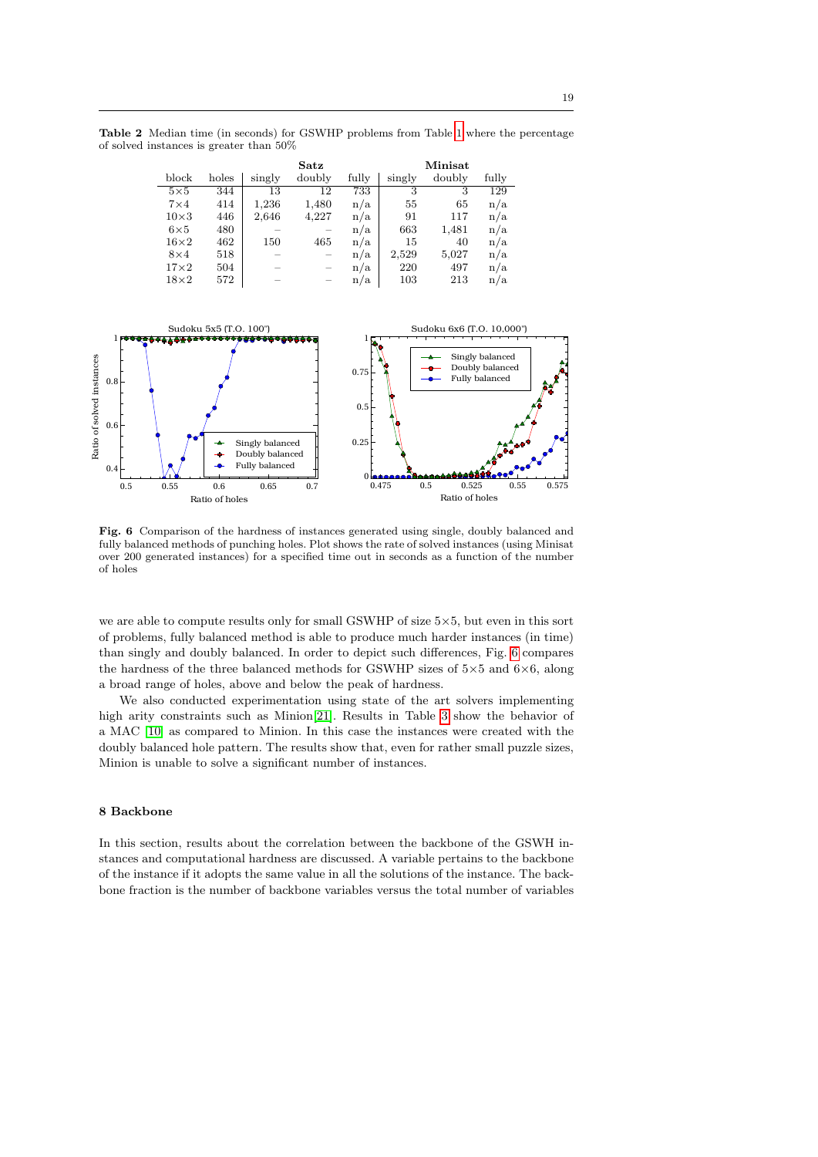Table 2 Median time (in seconds) for GSWHP problems from Table [1](#page-17-1) where the percentage of solved instances is greater than 50%

<span id="page-18-1"></span>

|             |       |        | Satz   |       | Minisat |        |       |
|-------------|-------|--------|--------|-------|---------|--------|-------|
| block       | holes | singly | doubly | fully | singly  | doubly | fully |
| $5\times5$  | 344   | 13     | 12     | 733   | 3       | 3      | 129   |
| $7\times4$  | 414   | 1,236  | 1,480  | n/a   | 55      | 65     | n/a   |
| $10\times3$ | 446   | 2,646  | 4,227  | n/a   | 91      | 117    | n/a   |
| $6\times5$  | 480   |        |        | n/a   | 663     | 1,481  | n/a   |
| $16\times2$ | 462   | 150    | 465    | n/a   | 15      | 40     | n/a   |
| $8\times4$  | 518   |        |        | n/a   | 2,529   | 5,027  | n/a   |
| $17\times2$ | 504   |        |        | n/a   | 220     | 497    | n/a   |
| $18\times2$ | 572   |        |        | n/a   | 103     | 213    | n/a   |



<span id="page-18-2"></span>Fig. 6 Comparison of the hardness of instances generated using single, doubly balanced and fully balanced methods of punching holes. Plot shows the rate of solved instances (using Minisat over 200 generated instances) for a specified time out in seconds as a function of the number of holes

we are able to compute results only for small GSWHP of size  $5\times5$ , but even in this sort of problems, fully balanced method is able to produce much harder instances (in time) than singly and doubly balanced. In order to depict such differences, Fig. [6](#page-18-2) compares the hardness of the three balanced methods for GSWHP sizes of  $5\times5$  and  $6\times6$ , along a broad range of holes, above and below the peak of hardness.

We also conducted experimentation using state of the art solvers implementing high arity constraints such as Minion[\[21\]](#page-23-20). Results in Table [3](#page-19-0) show the behavior of a MAC [\[10\]](#page-22-15) as compared to Minion. In this case the instances were created with the doubly balanced hole pattern. The results show that, even for rather small puzzle sizes, Minion is unable to solve a significant number of instances.

# <span id="page-18-0"></span>8 Backbone

In this section, results about the correlation between the backbone of the GSWH instances and computational hardness are discussed. A variable pertains to the backbone of the instance if it adopts the same value in all the solutions of the instance. The backbone fraction is the number of backbone variables versus the total number of variables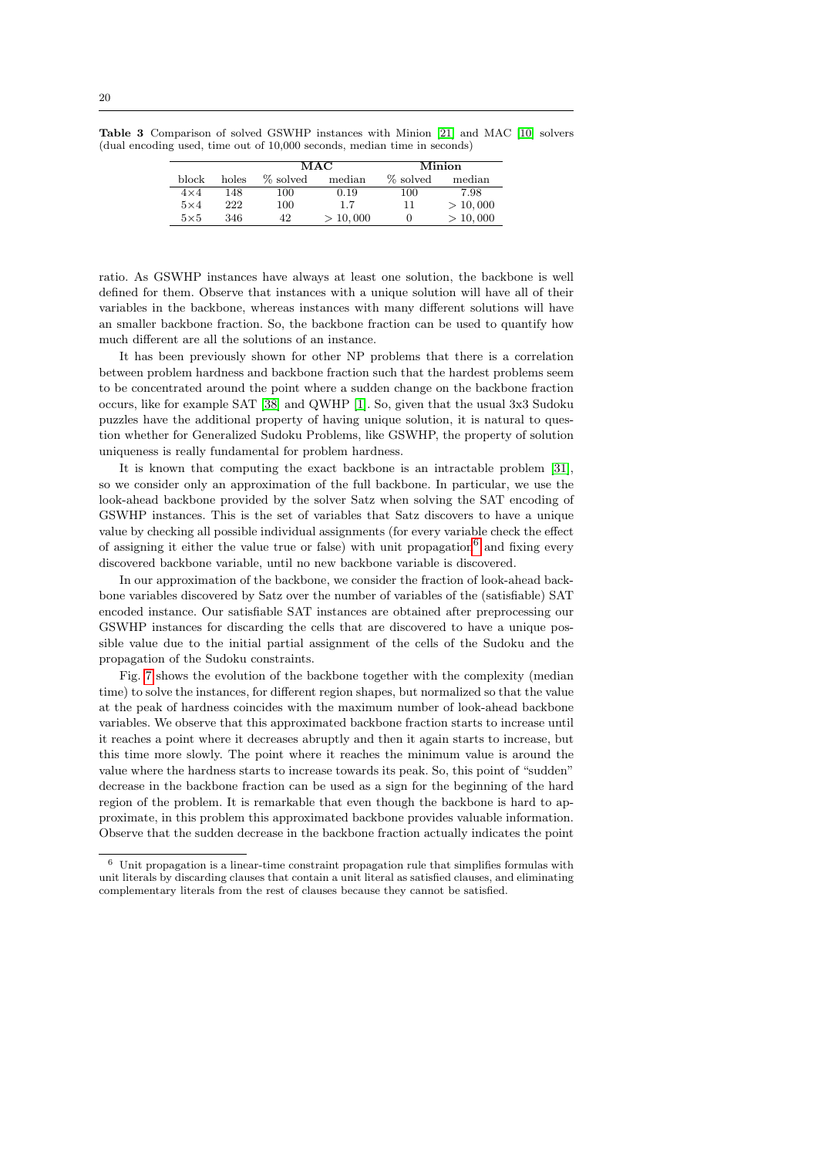<span id="page-19-0"></span>

|            |       |          | MAC      |          | Minion   |
|------------|-------|----------|----------|----------|----------|
| block      | holes | % solved | median   | % solved | median   |
| $4\times4$ | 148   | 100      | 0.19     | 100      | 7.98     |
| $5\times4$ | 222   | 100      | 1.7      | 11       | > 10,000 |
| $5\times5$ | 346   | 42       | > 10,000 | $\cup$   | > 10,000 |

ratio. As GSWHP instances have always at least one solution, the backbone is well defined for them. Observe that instances with a unique solution will have all of their variables in the backbone, whereas instances with many different solutions will have an smaller backbone fraction. So, the backbone fraction can be used to quantify how much different are all the solutions of an instance.

It has been previously shown for other NP problems that there is a correlation between problem hardness and backbone fraction such that the hardest problems seem to be concentrated around the point where a sudden change on the backbone fraction occurs, like for example SAT [\[38\]](#page-23-21) and QWHP [\[1\]](#page-22-11). So, given that the usual 3x3 Sudoku puzzles have the additional property of having unique solution, it is natural to question whether for Generalized Sudoku Problems, like GSWHP, the property of solution uniqueness is really fundamental for problem hardness.

It is known that computing the exact backbone is an intractable problem [\[31\]](#page-23-22), so we consider only an approximation of the full backbone. In particular, we use the look-ahead backbone provided by the solver Satz when solving the SAT encoding of GSWHP instances. This is the set of variables that Satz discovers to have a unique value by checking all possible individual assignments (for every variable check the effect of assigning it either the value true or false) with unit propagation<sup>[6](#page-19-1)</sup> and fixing every discovered backbone variable, until no new backbone variable is discovered.

In our approximation of the backbone, we consider the fraction of look-ahead backbone variables discovered by Satz over the number of variables of the (satisfiable) SAT encoded instance. Our satisfiable SAT instances are obtained after preprocessing our GSWHP instances for discarding the cells that are discovered to have a unique possible value due to the initial partial assignment of the cells of the Sudoku and the propagation of the Sudoku constraints.

Fig. [7](#page-20-0) shows the evolution of the backbone together with the complexity (median time) to solve the instances, for different region shapes, but normalized so that the value at the peak of hardness coincides with the maximum number of look-ahead backbone variables. We observe that this approximated backbone fraction starts to increase until it reaches a point where it decreases abruptly and then it again starts to increase, but this time more slowly. The point where it reaches the minimum value is around the value where the hardness starts to increase towards its peak. So, this point of "sudden" decrease in the backbone fraction can be used as a sign for the beginning of the hard region of the problem. It is remarkable that even though the backbone is hard to approximate, in this problem this approximated backbone provides valuable information. Observe that the sudden decrease in the backbone fraction actually indicates the point

<span id="page-19-1"></span> $6$  Unit propagation is a linear-time constraint propagation rule that simplifies formulas with unit literals by discarding clauses that contain a unit literal as satisfied clauses, and eliminating complementary literals from the rest of clauses because they cannot be satisfied.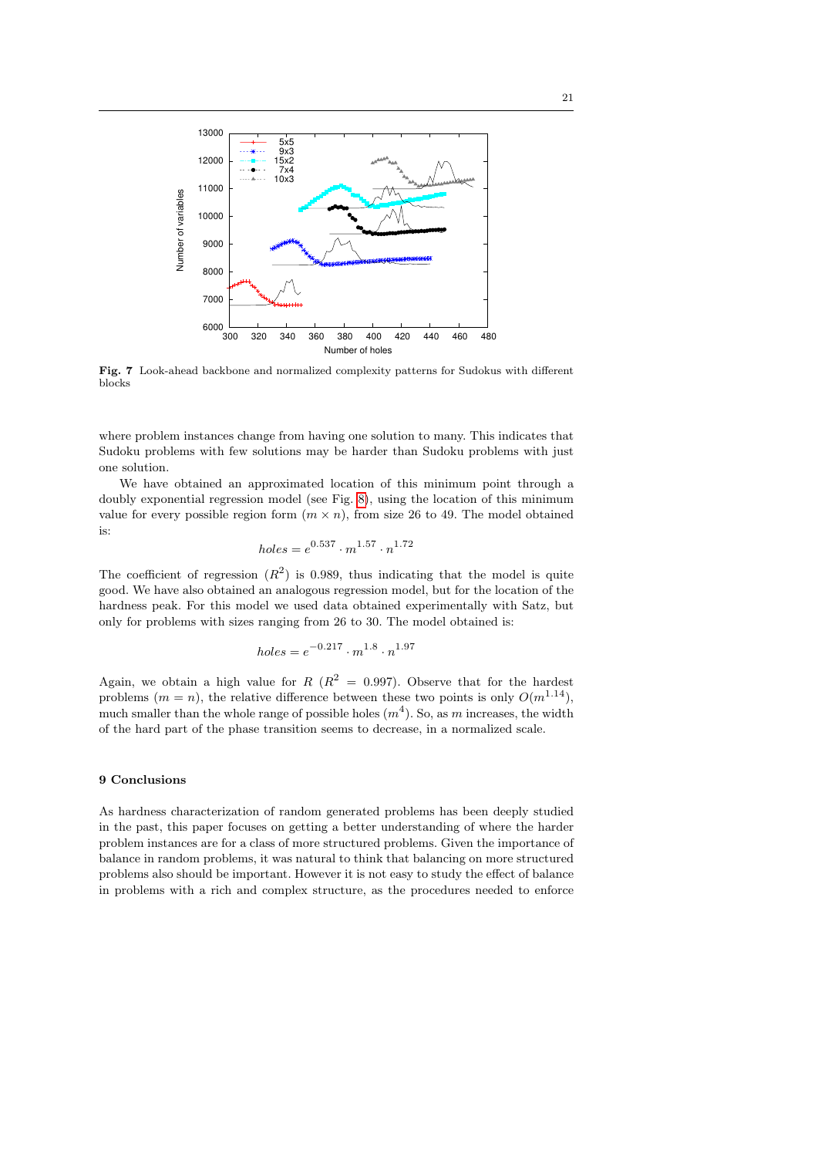

<span id="page-20-0"></span>Fig. 7 Look-ahead backbone and normalized complexity patterns for Sudokus with different blocks

where problem instances change from having one solution to many. This indicates that Sudoku problems with few solutions may be harder than Sudoku problems with just one solution.

We have obtained an approximated location of this minimum point through a doubly exponential regression model (see Fig. [8\)](#page-21-0), using the location of this minimum value for every possible region form  $(m \times n)$ , from size 26 to 49. The model obtained is:

$$
holes = e^{0.537} \cdot m^{1.57} \cdot n^{1.72}
$$

The coefficient of regression  $(R^2)$  is 0.989, thus indicating that the model is quite good. We have also obtained an analogous regression model, but for the location of the hardness peak. For this model we used data obtained experimentally with Satz, but only for problems with sizes ranging from 26 to 30. The model obtained is:

$$
holes = e^{-0.217} \cdot m^{1.8} \cdot n^{1.97}
$$

Again, we obtain a high value for  $R(R^2 = 0.997)$ . Observe that for the hardest problems  $(m = n)$ , the relative difference between these two points is only  $O(m^{1.14})$ . much smaller than the whole range of possible holes  $(m<sup>4</sup>)$ . So, as m increases, the width of the hard part of the phase transition seems to decrease, in a normalized scale.

# 9 Conclusions

As hardness characterization of random generated problems has been deeply studied in the past, this paper focuses on getting a better understanding of where the harder problem instances are for a class of more structured problems. Given the importance of balance in random problems, it was natural to think that balancing on more structured problems also should be important. However it is not easy to study the effect of balance in problems with a rich and complex structure, as the procedures needed to enforce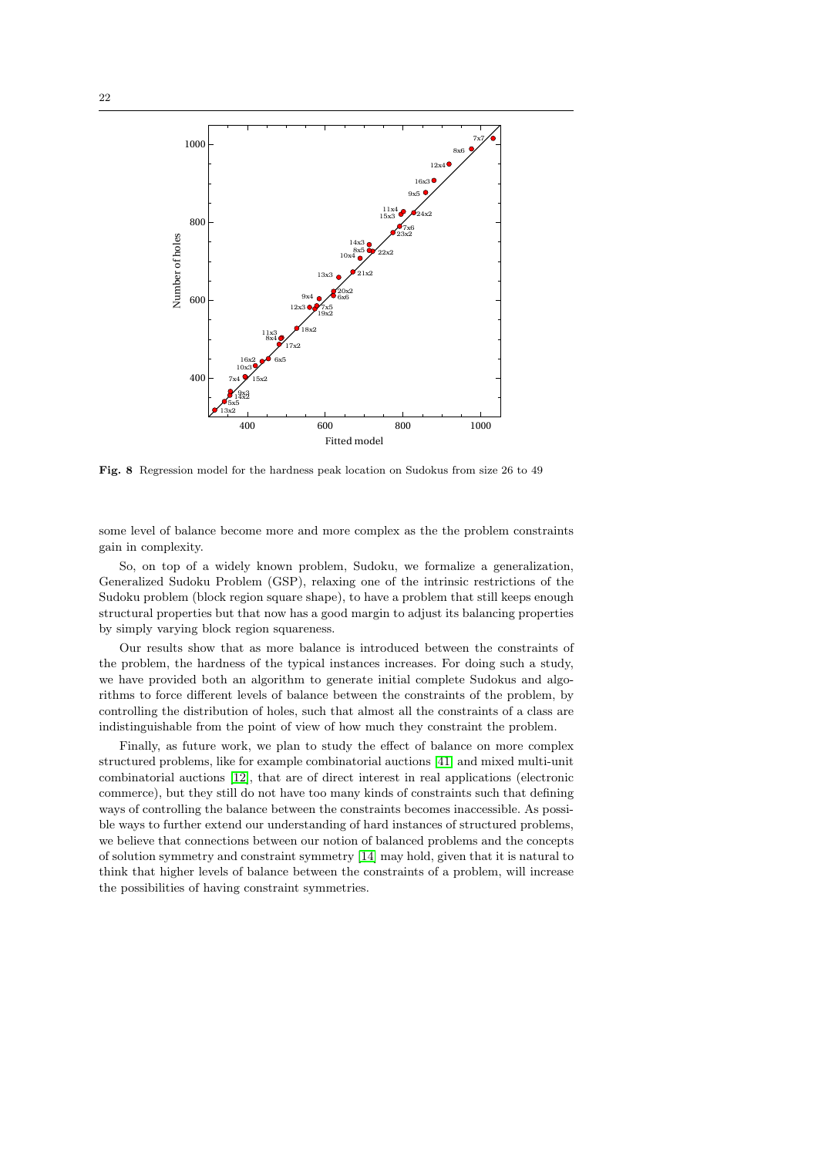

<span id="page-21-0"></span>Fig. 8 Regression model for the hardness peak location on Sudokus from size 26 to 49

some level of balance become more and more complex as the the problem constraints gain in complexity.

So, on top of a widely known problem, Sudoku, we formalize a generalization, Generalized Sudoku Problem (GSP), relaxing one of the intrinsic restrictions of the Sudoku problem (block region square shape), to have a problem that still keeps enough structural properties but that now has a good margin to adjust its balancing properties by simply varying block region squareness.

Our results show that as more balance is introduced between the constraints of the problem, the hardness of the typical instances increases. For doing such a study, we have provided both an algorithm to generate initial complete Sudokus and algorithms to force different levels of balance between the constraints of the problem, by controlling the distribution of holes, such that almost all the constraints of a class are indistinguishable from the point of view of how much they constraint the problem.

Finally, as future work, we plan to study the effect of balance on more complex structured problems, like for example combinatorial auctions [\[41\]](#page-23-23) and mixed multi-unit combinatorial auctions [\[12\]](#page-22-17), that are of direct interest in real applications (electronic commerce), but they still do not have too many kinds of constraints such that defining ways of controlling the balance between the constraints becomes inaccessible. As possible ways to further extend our understanding of hard instances of structured problems, we believe that connections between our notion of balanced problems and the concepts of solution symmetry and constraint symmetry [\[14\]](#page-22-18) may hold, given that it is natural to think that higher levels of balance between the constraints of a problem, will increase the possibilities of having constraint symmetries.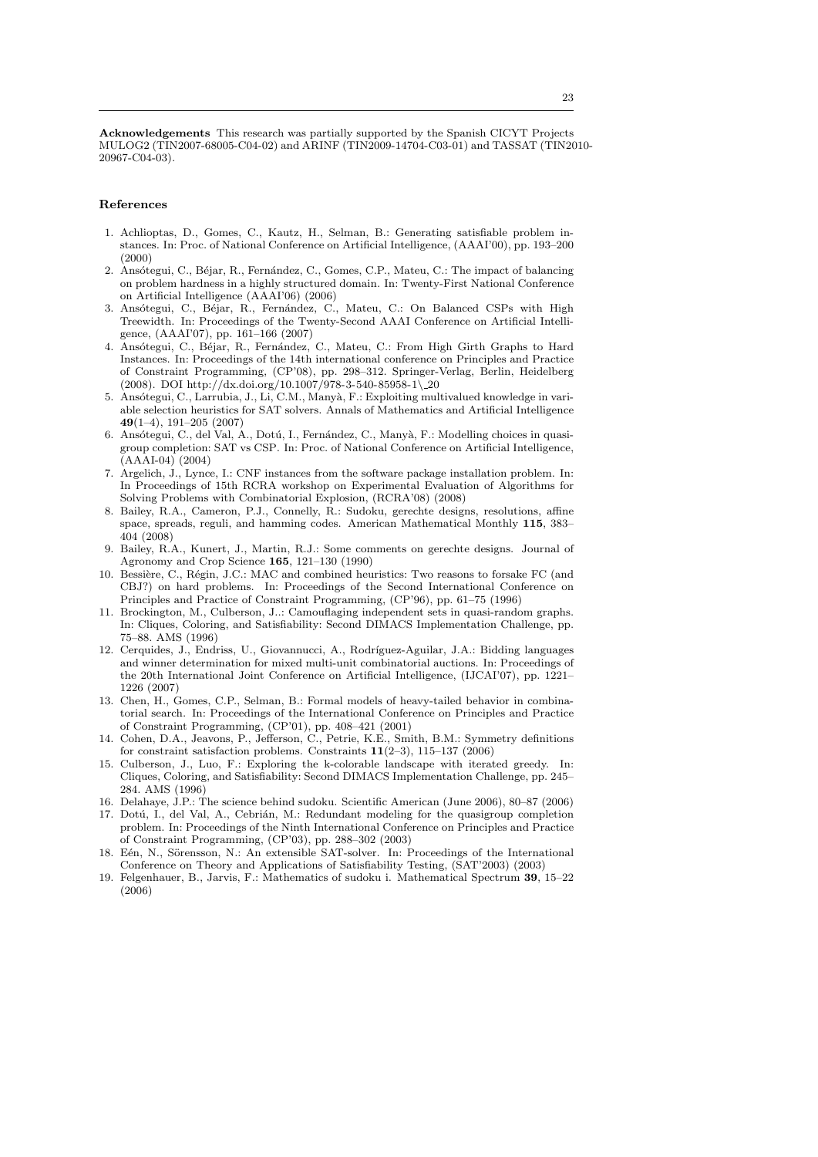Acknowledgements This research was partially supported by the Spanish CICYT Projects MULOG2 (TIN2007-68005-C04-02) and ARINF (TIN2009-14704-C03-01) and TASSAT (TIN2010- 20967-C04-03).

## References

- <span id="page-22-11"></span>1. Achlioptas, D., Gomes, C., Kautz, H., Selman, B.: Generating satisfiable problem instances. In: Proc. of National Conference on Artificial Intelligence, (AAAI'00), pp. 193–200 (2000)
- <span id="page-22-2"></span>2. Ansótegui, C., Béjar, R., Fernández, C., Gomes, C.P., Mateu, C.: The impact of balancing on problem hardness in a highly structured domain. In: Twenty-First National Conference on Artificial Intelligence (AAAI'06) (2006)
- <span id="page-22-7"></span>3. Ansótegui, C., Béjar, R., Fernández, C., Mateu, C.: On Balanced CSPs with High Treewidth. In: Proceedings of the Twenty-Second AAAI Conference on Artificial Intelligence, (AAAI'07), pp. 161–166 (2007)
- <span id="page-22-8"></span>Ansótegui, C., Béjar, R., Fernández, C., Mateu, C.: From High Girth Graphs to Hard Instances. In: Proceedings of the 14th international conference on Principles and Practice of Constraint Programming, (CP'08), pp. 298–312. Springer-Verlag, Berlin, Heidelberg (2008). DOI http://dx.doi.org/10.1007/978-3-540-85958-1\ 20
- <span id="page-22-16"></span>5. Ansótegui, C., Larrubia, J., Li, C.M., Manyà, F.: Exploiting multivalued knowledge in variable selection heuristics for SAT solvers. Annals of Mathematics and Artificial Intelligence 49(1–4), 191–205 (2007)
- <span id="page-22-12"></span>6. Ansótegui, C., del Val, A., Dotú, I., Fernández, C., Manyà, F.: Modelling choices in quasigroup completion: SAT vs CSP. In: Proc. of National Conference on Artificial Intelligence, (AAAI-04) (2004)
- <span id="page-22-3"></span>7. Argelich, J., Lynce, I.: CNF instances from the software package installation problem. In: In Proceedings of 15th RCRA workshop on Experimental Evaluation of Algorithms for Solving Problems with Combinatorial Explosion, (RCRA'08) (2008)
- <span id="page-22-0"></span>8. Bailey, R.A., Cameron, P.J., Connelly, R.: Sudoku, gerechte designs, resolutions, affine space, spreads, reguli, and hamming codes. American Mathematical Monthly 115, 383– 404 (2008)
- <span id="page-22-1"></span>9. Bailey, R.A., Kunert, J., Martin, R.J.: Some comments on gerechte designs. Journal of Agronomy and Crop Science 165, 121–130 (1990)
- <span id="page-22-15"></span>10. Bessière, C., Régin, J.C.: MAC and combined heuristics: Two reasons to forsake FC (and CBJ?) on hard problems. In: Proceedings of the Second International Conference on Principles and Practice of Constraint Programming, (CP'96), pp. 61–75 (1996)
- <span id="page-22-9"></span>11. Brockington, M., Culberson, J..: Camouflaging independent sets in quasi-random graphs. In: Cliques, Coloring, and Satisfiability: Second DIMACS Implementation Challenge, pp. 75–88. AMS (1996)
- <span id="page-22-17"></span>12. Cerquides, J., Endriss, U., Giovannucci, A., Rodríguez-Aguilar, J.A.: Bidding languages and winner determination for mixed multi-unit combinatorial auctions. In: Proceedings of the 20th International Joint Conference on Artificial Intelligence, (IJCAI'07), pp. 1221– 1226 (2007)
- <span id="page-22-4"></span>13. Chen, H., Gomes, C.P., Selman, B.: Formal models of heavy-tailed behavior in combinatorial search. In: Proceedings of the International Conference on Principles and Practice of Constraint Programming, (CP'01), pp. 408–421 (2001)
- <span id="page-22-18"></span>14. Cohen, D.A., Jeavons, P., Jefferson, C., Petrie, K.E., Smith, B.M.: Symmetry definitions for constraint satisfaction problems. Constraints  $11(2-3)$ ,  $115-137$  (2006)
- <span id="page-22-10"></span>15. Culberson, J., Luo, F.: Exploring the k-colorable landscape with iterated greedy. In: Cliques, Coloring, and Satisfiability: Second DIMACS Implementation Challenge, pp. 245– 284. AMS (1996)
- <span id="page-22-5"></span>16. Delahaye, J.P.: The science behind sudoku. Scientific American (June 2006), 80–87 (2006)
- <span id="page-22-14"></span>17. Dotú, I., del Val, A., Cebrián, M.: Redundant modeling for the quasigroup completion problem. In: Proceedings of the Ninth International Conference on Principles and Practice of Constraint Programming, (CP'03), pp. 288–302 (2003)
- <span id="page-22-13"></span>18. Eén, N., Sörensson, N.: An extensible SAT-solver. In: Proceedings of the International Conference on Theory and Applications of Satisfiability Testing, (SAT'2003) (2003)
- <span id="page-22-6"></span>19. Felgenhauer, B., Jarvis, F.: Mathematics of sudoku i. Mathematical Spectrum 39, 15–22 (2006)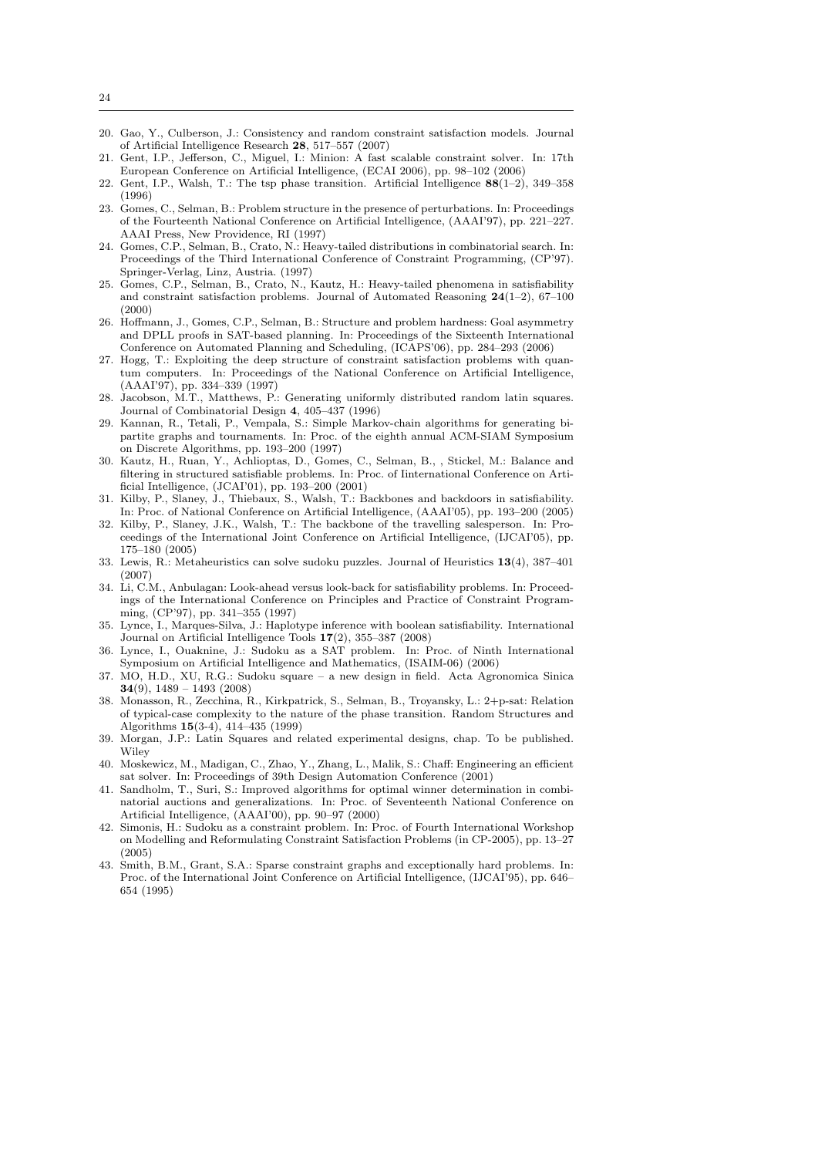- <span id="page-23-9"></span>20. Gao, Y., Culberson, J.: Consistency and random constraint satisfaction models. Journal of Artificial Intelligence Research 28, 517–557 (2007)
- <span id="page-23-20"></span>21. Gent, I.P., Jefferson, C., Miguel, I.: Minion: A fast scalable constraint solver. In: 17th European Conference on Artificial Intelligence, (ECAI 2006), pp. 98–102 (2006)
- <span id="page-23-1"></span>22. Gent, I.P., Walsh, T.: The tsp phase transition. Artificial Intelligence 88(1–2), 349–358 (1996)
- <span id="page-23-2"></span>23. Gomes, C., Selman, B.: Problem structure in the presence of perturbations. In: Proceedings of the Fourteenth National Conference on Artificial Intelligence, (AAAI'97), pp. 221–227. AAAI Press, New Providence, RI (1997)
- <span id="page-23-16"></span>24. Gomes, C.P., Selman, B., Crato, N.: Heavy-tailed distributions in combinatorial search. In: Proceedings of the Third International Conference of Constraint Programming, (CP'97). Springer-Verlag, Linz, Austria. (1997)
- <span id="page-23-8"></span>25. Gomes, C.P., Selman, B., Crato, N., Kautz, H.: Heavy-tailed phenomena in satisfiability and constraint satisfaction problems. Journal of Automated Reasoning  $24(1-2)$ , 67-100 (2000)
- <span id="page-23-6"></span>26. Hoffmann, J., Gomes, C.P., Selman, B.: Structure and problem hardness: Goal asymmetry and DPLL proofs in SAT-based planning. In: Proceedings of the Sixteenth International Conference on Automated Planning and Scheduling, (ICAPS'06), pp. 284–293 (2006)
- <span id="page-23-7"></span>27. Hogg, T.: Exploiting the deep structure of constraint satisfaction problems with quantum computers. In: Proceedings of the National Conference on Artificial Intelligence, (AAAI'97), pp. 334–339 (1997)
- <span id="page-23-15"></span>28. Jacobson, M.T., Matthews, P.: Generating uniformly distributed random latin squares. Journal of Combinatorial Design 4, 405–437 (1996)
- <span id="page-23-17"></span>29. Kannan, R., Tetali, P., Vempala, S.: Simple Markov-chain algorithms for generating bipartite graphs and tournaments. In: Proc. of the eighth annual ACM-SIAM Symposium on Discrete Algorithms, pp. 193–200 (1997)
- <span id="page-23-14"></span>30. Kautz, H., Ruan, Y., Achlioptas, D., Gomes, C., Selman, B., , Stickel, M.: Balance and filtering in structured satisfiable problems. In: Proc. of Iinternational Conference on Artificial Intelligence, (JCAI'01), pp. 193–200 (2001)
- <span id="page-23-22"></span>31. Kilby, P., Slaney, J., Thiebaux, S., Walsh, T.: Backbones and backdoors in satisfiability. In: Proc. of National Conference on Artificial Intelligence, (AAAI'05), pp. 193–200 (2005)
- <span id="page-23-3"></span>32. Kilby, P., Slaney, J.K., Walsh, T.: The backbone of the travelling salesperson. In: Proceedings of the International Joint Conference on Artificial Intelligence, (IJCAI'05), pp. 175–180 (2005)
- <span id="page-23-12"></span>33. Lewis, R.: Metaheuristics can solve sudoku puzzles. Journal of Heuristics 13(4), 387–401 (2007)
- <span id="page-23-18"></span>34. Li, C.M., Anbulagan: Look-ahead versus look-back for satisfiability problems. In: Proceedings of the International Conference on Principles and Practice of Constraint Programming, (CP'97), pp. 341–355 (1997)
- <span id="page-23-4"></span>35. Lynce, I., Marques-Silva, J.: Haplotype inference with boolean satisfiability. International Journal on Artificial Intelligence Tools 17(2), 355–387 (2008)
- <span id="page-23-11"></span>36. Lynce, I., Ouaknine, J.: Sudoku as a SAT problem. In: Proc. of Ninth International Symposium on Artificial Intelligence and Mathematics, (ISAIM-06) (2006)
- <span id="page-23-13"></span>37. MO, H.D., XU, R.G.: Sudoku square – a new design in field. Acta Agronomica Sinica 34(9),  $1489 - 1493$  (2008)
- <span id="page-23-21"></span>38. Monasson, R., Zecchina, R., Kirkpatrick, S., Selman, B., Troyansky, L.: 2+p-sat: Relation of typical-case complexity to the nature of the phase transition. Random Structures and Algorithms 15(3-4), 414–435 (1999)
- <span id="page-23-0"></span>39. Morgan, J.P.: Latin Squares and related experimental designs, chap. To be published. **Wiley**
- <span id="page-23-19"></span>40. Moskewicz, M., Madigan, C., Zhao, Y., Zhang, L., Malik, S.: Chaff: Engineering an efficient sat solver. In: Proceedings of 39th Design Automation Conference (2001)
- <span id="page-23-23"></span>41. Sandholm, T., Suri, S.: Improved algorithms for optimal winner determination in combinatorial auctions and generalizations. In: Proc. of Seventeenth National Conference on Artificial Intelligence, (AAAI'00), pp. 90–97 (2000)
- <span id="page-23-10"></span>42. Simonis, H.: Sudoku as a constraint problem. In: Proc. of Fourth International Workshop on Modelling and Reformulating Constraint Satisfaction Problems (in CP-2005), pp. 13–27 (2005)
- <span id="page-23-5"></span>43. Smith, B.M., Grant, S.A.: Sparse constraint graphs and exceptionally hard problems. In: Proc. of the International Joint Conference on Artificial Intelligence, (IJCAI'95), pp. 646– 654 (1995)